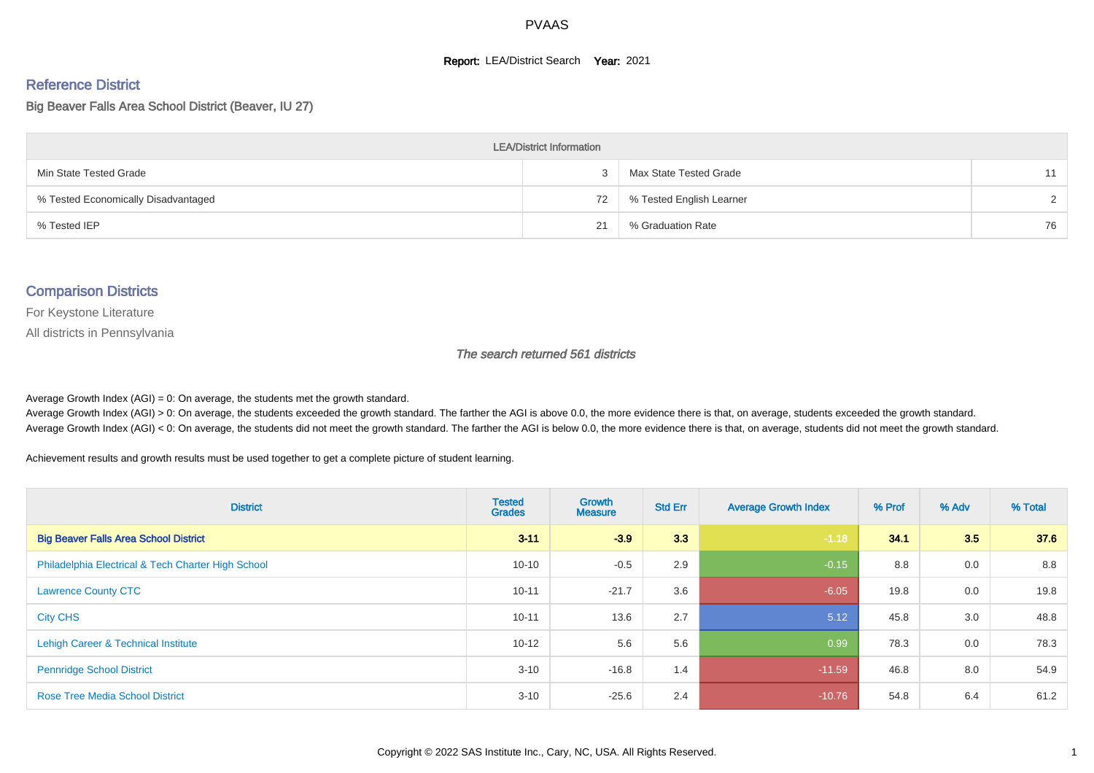#### **Report: LEA/District Search Year: 2021**

# Reference District

Big Beaver Falls Area School District (Beaver, IU 27)

| <b>LEA/District Information</b>     |    |                          |               |  |  |  |  |  |  |  |
|-------------------------------------|----|--------------------------|---------------|--|--|--|--|--|--|--|
| Min State Tested Grade              |    | Max State Tested Grade   | 11            |  |  |  |  |  |  |  |
| % Tested Economically Disadvantaged | 72 | % Tested English Learner | $\mathcal{D}$ |  |  |  |  |  |  |  |
| % Tested IEP                        | 21 | % Graduation Rate        | 76            |  |  |  |  |  |  |  |

#### Comparison Districts

For Keystone Literature

All districts in Pennsylvania

The search returned 561 districts

Average Growth Index  $(AGI) = 0$ : On average, the students met the growth standard.

Average Growth Index (AGI) > 0: On average, the students exceeded the growth standard. The farther the AGI is above 0.0, the more evidence there is that, on average, students exceeded the growth standard. Average Growth Index (AGI) < 0: On average, the students did not meet the growth standard. The farther the AGI is below 0.0, the more evidence there is that, on average, students did not meet the growth standard.

Achievement results and growth results must be used together to get a complete picture of student learning.

| <b>District</b>                                    | <b>Tested</b><br><b>Grades</b> | Growth<br><b>Measure</b> | <b>Std Err</b> | <b>Average Growth Index</b> | % Prof | % Adv | % Total |
|----------------------------------------------------|--------------------------------|--------------------------|----------------|-----------------------------|--------|-------|---------|
| <b>Big Beaver Falls Area School District</b>       | $3 - 11$                       | $-3.9$                   | 3.3            | $-1.18$                     | 34.1   | 3.5   | 37.6    |
| Philadelphia Electrical & Tech Charter High School | $10 - 10$                      | $-0.5$                   | 2.9            | $-0.15$                     | 8.8    | 0.0   | 8.8     |
| <b>Lawrence County CTC</b>                         | $10 - 11$                      | $-21.7$                  | 3.6            | $-6.05$                     | 19.8   | 0.0   | 19.8    |
| <b>City CHS</b>                                    | $10 - 11$                      | 13.6                     | 2.7            | 5.12                        | 45.8   | 3.0   | 48.8    |
| Lehigh Career & Technical Institute                | $10 - 12$                      | 5.6                      | 5.6            | 0.99                        | 78.3   | 0.0   | 78.3    |
| <b>Pennridge School District</b>                   | $3 - 10$                       | $-16.8$                  | 1.4            | $-11.59$                    | 46.8   | 8.0   | 54.9    |
| <b>Rose Tree Media School District</b>             | $3 - 10$                       | $-25.6$                  | 2.4            | $-10.76$                    | 54.8   | 6.4   | 61.2    |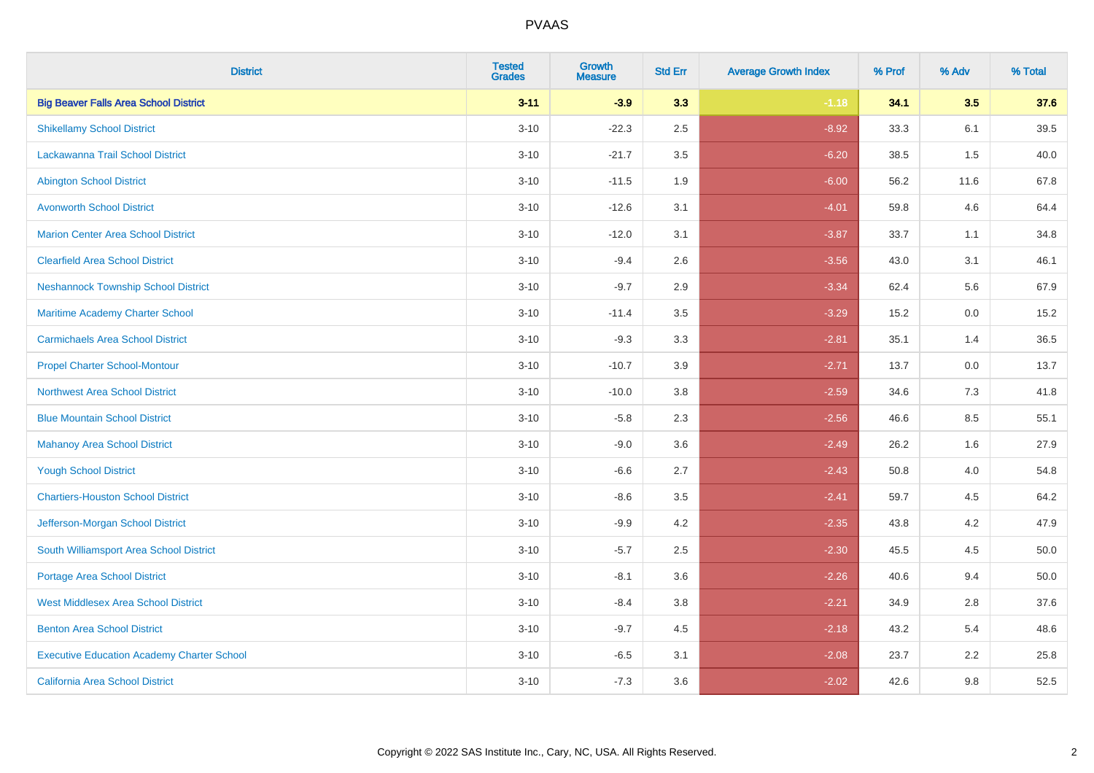| <b>District</b>                                   | <b>Tested</b><br><b>Grades</b> | <b>Growth</b><br><b>Measure</b> | <b>Std Err</b> | <b>Average Growth Index</b> | % Prof | % Adv   | % Total |
|---------------------------------------------------|--------------------------------|---------------------------------|----------------|-----------------------------|--------|---------|---------|
| <b>Big Beaver Falls Area School District</b>      | $3 - 11$                       | $-3.9$                          | 3.3            | $-1.18$                     | 34.1   | 3.5     | 37.6    |
| <b>Shikellamy School District</b>                 | $3 - 10$                       | $-22.3$                         | 2.5            | $-8.92$                     | 33.3   | 6.1     | 39.5    |
| Lackawanna Trail School District                  | $3 - 10$                       | $-21.7$                         | 3.5            | $-6.20$                     | 38.5   | 1.5     | 40.0    |
| <b>Abington School District</b>                   | $3 - 10$                       | $-11.5$                         | 1.9            | $-6.00$                     | 56.2   | 11.6    | 67.8    |
| <b>Avonworth School District</b>                  | $3 - 10$                       | $-12.6$                         | 3.1            | $-4.01$                     | 59.8   | 4.6     | 64.4    |
| <b>Marion Center Area School District</b>         | $3 - 10$                       | $-12.0$                         | 3.1            | $-3.87$                     | 33.7   | 1.1     | 34.8    |
| <b>Clearfield Area School District</b>            | $3 - 10$                       | $-9.4$                          | 2.6            | $-3.56$                     | 43.0   | 3.1     | 46.1    |
| <b>Neshannock Township School District</b>        | $3 - 10$                       | $-9.7$                          | 2.9            | $-3.34$                     | 62.4   | 5.6     | 67.9    |
| Maritime Academy Charter School                   | $3 - 10$                       | $-11.4$                         | 3.5            | $-3.29$                     | 15.2   | 0.0     | 15.2    |
| <b>Carmichaels Area School District</b>           | $3 - 10$                       | $-9.3$                          | 3.3            | $-2.81$                     | 35.1   | 1.4     | 36.5    |
| <b>Propel Charter School-Montour</b>              | $3 - 10$                       | $-10.7$                         | 3.9            | $-2.71$                     | 13.7   | 0.0     | 13.7    |
| <b>Northwest Area School District</b>             | $3 - 10$                       | $-10.0$                         | 3.8            | $-2.59$                     | 34.6   | 7.3     | 41.8    |
| <b>Blue Mountain School District</b>              | $3 - 10$                       | $-5.8$                          | 2.3            | $-2.56$                     | 46.6   | $8.5\,$ | 55.1    |
| <b>Mahanoy Area School District</b>               | $3 - 10$                       | $-9.0$                          | 3.6            | $-2.49$                     | 26.2   | 1.6     | 27.9    |
| <b>Yough School District</b>                      | $3 - 10$                       | $-6.6$                          | 2.7            | $-2.43$                     | 50.8   | 4.0     | 54.8    |
| <b>Chartiers-Houston School District</b>          | $3 - 10$                       | $-8.6$                          | 3.5            | $-2.41$                     | 59.7   | 4.5     | 64.2    |
| Jefferson-Morgan School District                  | $3 - 10$                       | $-9.9$                          | 4.2            | $-2.35$                     | 43.8   | 4.2     | 47.9    |
| South Williamsport Area School District           | $3 - 10$                       | $-5.7$                          | 2.5            | $-2.30$                     | 45.5   | 4.5     | 50.0    |
| Portage Area School District                      | $3 - 10$                       | $-8.1$                          | 3.6            | $-2.26$                     | 40.6   | 9.4     | 50.0    |
| <b>West Middlesex Area School District</b>        | $3 - 10$                       | $-8.4$                          | 3.8            | $-2.21$                     | 34.9   | 2.8     | 37.6    |
| <b>Benton Area School District</b>                | $3 - 10$                       | $-9.7$                          | 4.5            | $-2.18$                     | 43.2   | 5.4     | 48.6    |
| <b>Executive Education Academy Charter School</b> | $3 - 10$                       | $-6.5$                          | 3.1            | $-2.08$                     | 23.7   | 2.2     | 25.8    |
| <b>California Area School District</b>            | $3 - 10$                       | $-7.3$                          | 3.6            | $-2.02$                     | 42.6   | 9.8     | 52.5    |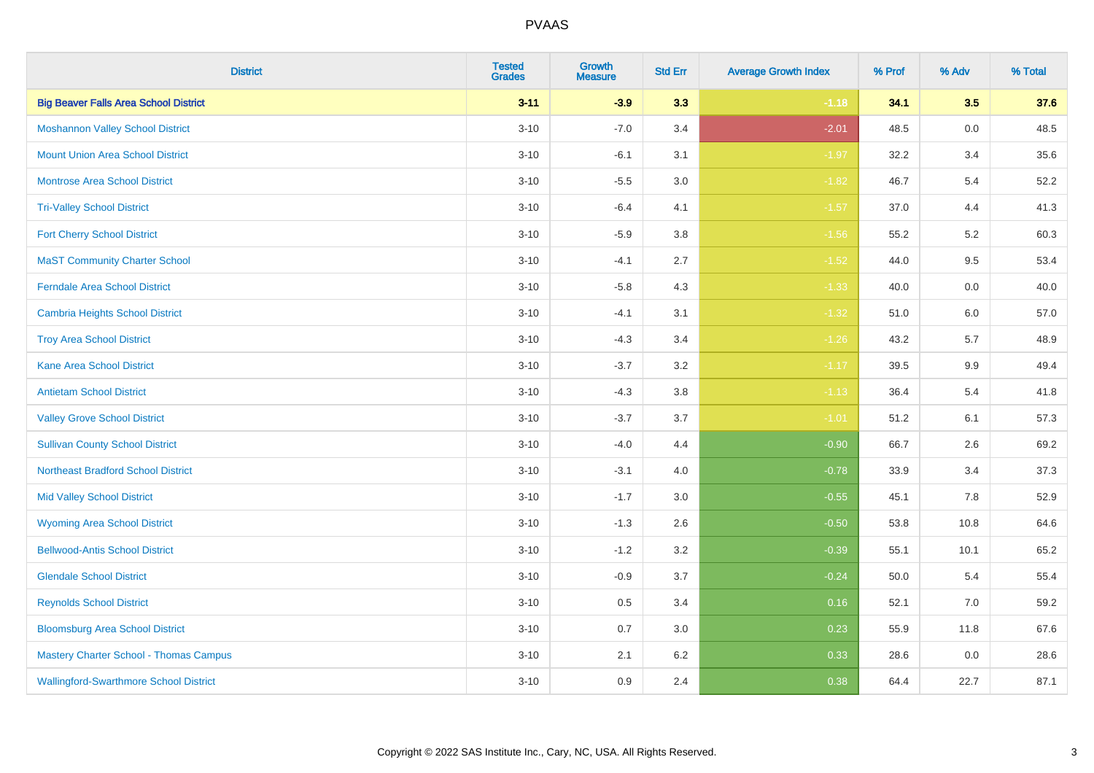| <b>District</b>                               | <b>Tested</b><br><b>Grades</b> | <b>Growth</b><br><b>Measure</b> | <b>Std Err</b> | <b>Average Growth Index</b> | % Prof | % Adv   | % Total |
|-----------------------------------------------|--------------------------------|---------------------------------|----------------|-----------------------------|--------|---------|---------|
| <b>Big Beaver Falls Area School District</b>  | $3 - 11$                       | $-3.9$                          | 3.3            | $-1.18$                     | 34.1   | 3.5     | 37.6    |
| <b>Moshannon Valley School District</b>       | $3 - 10$                       | $-7.0$                          | 3.4            | $-2.01$                     | 48.5   | 0.0     | 48.5    |
| <b>Mount Union Area School District</b>       | $3 - 10$                       | $-6.1$                          | 3.1            | $-1.97$                     | 32.2   | 3.4     | 35.6    |
| <b>Montrose Area School District</b>          | $3 - 10$                       | $-5.5$                          | 3.0            | $-1.82$                     | 46.7   | 5.4     | 52.2    |
| <b>Tri-Valley School District</b>             | $3 - 10$                       | $-6.4$                          | 4.1            | $-1.57$                     | 37.0   | 4.4     | 41.3    |
| <b>Fort Cherry School District</b>            | $3 - 10$                       | $-5.9$                          | 3.8            | $-1.56$                     | 55.2   | 5.2     | 60.3    |
| <b>MaST Community Charter School</b>          | $3 - 10$                       | $-4.1$                          | 2.7            | $-1.52$                     | 44.0   | 9.5     | 53.4    |
| <b>Ferndale Area School District</b>          | $3 - 10$                       | $-5.8$                          | 4.3            | $-1.33$                     | 40.0   | 0.0     | 40.0    |
| <b>Cambria Heights School District</b>        | $3 - 10$                       | $-4.1$                          | 3.1            | $-1.32$                     | 51.0   | 6.0     | 57.0    |
| <b>Troy Area School District</b>              | $3 - 10$                       | $-4.3$                          | 3.4            | $-1.26$                     | 43.2   | 5.7     | 48.9    |
| <b>Kane Area School District</b>              | $3 - 10$                       | $-3.7$                          | 3.2            | $-1.17$                     | 39.5   | 9.9     | 49.4    |
| <b>Antietam School District</b>               | $3 - 10$                       | $-4.3$                          | 3.8            | $-1.13$                     | 36.4   | 5.4     | 41.8    |
| <b>Valley Grove School District</b>           | $3 - 10$                       | $-3.7$                          | 3.7            | $-1.01$                     | 51.2   | 6.1     | 57.3    |
| <b>Sullivan County School District</b>        | $3 - 10$                       | $-4.0$                          | 4.4            | $-0.90$                     | 66.7   | 2.6     | 69.2    |
| <b>Northeast Bradford School District</b>     | $3 - 10$                       | $-3.1$                          | 4.0            | $-0.78$                     | 33.9   | 3.4     | 37.3    |
| <b>Mid Valley School District</b>             | $3 - 10$                       | $-1.7$                          | 3.0            | $-0.55$                     | 45.1   | $7.8\,$ | 52.9    |
| <b>Wyoming Area School District</b>           | $3 - 10$                       | $-1.3$                          | 2.6            | $-0.50$                     | 53.8   | 10.8    | 64.6    |
| <b>Bellwood-Antis School District</b>         | $3 - 10$                       | $-1.2$                          | 3.2            | $-0.39$                     | 55.1   | 10.1    | 65.2    |
| <b>Glendale School District</b>               | $3 - 10$                       | $-0.9$                          | 3.7            | $-0.24$                     | 50.0   | 5.4     | 55.4    |
| <b>Reynolds School District</b>               | $3 - 10$                       | 0.5                             | 3.4            | 0.16                        | 52.1   | 7.0     | 59.2    |
| <b>Bloomsburg Area School District</b>        | $3 - 10$                       | 0.7                             | 3.0            | 0.23                        | 55.9   | 11.8    | 67.6    |
| <b>Mastery Charter School - Thomas Campus</b> | $3 - 10$                       | 2.1                             | 6.2            | 0.33                        | 28.6   | 0.0     | 28.6    |
| <b>Wallingford-Swarthmore School District</b> | $3 - 10$                       | 0.9                             | 2.4            | 0.38                        | 64.4   | 22.7    | 87.1    |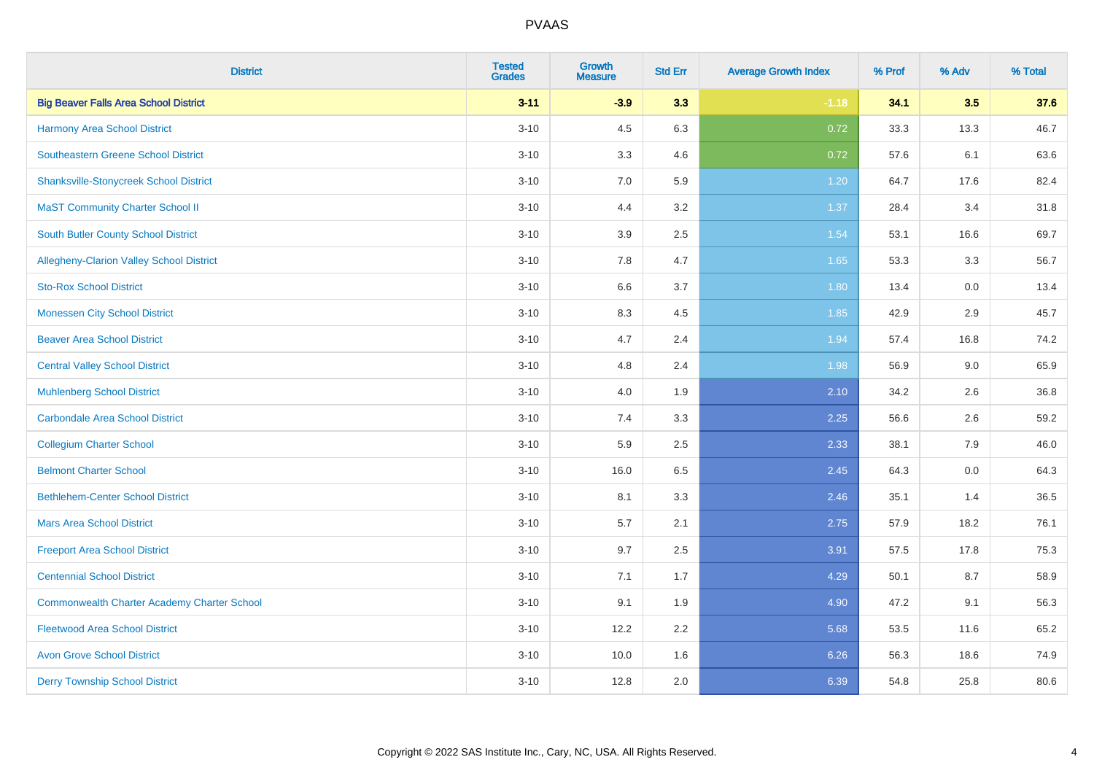| <b>District</b>                                    | <b>Tested</b><br><b>Grades</b> | <b>Growth</b><br><b>Measure</b> | <b>Std Err</b> | <b>Average Growth Index</b> | % Prof | % Adv | % Total |
|----------------------------------------------------|--------------------------------|---------------------------------|----------------|-----------------------------|--------|-------|---------|
| <b>Big Beaver Falls Area School District</b>       | $3 - 11$                       | $-3.9$                          | 3.3            | $-1.18$                     | 34.1   | 3.5   | 37.6    |
| <b>Harmony Area School District</b>                | $3 - 10$                       | 4.5                             | 6.3            | 0.72                        | 33.3   | 13.3  | 46.7    |
| Southeastern Greene School District                | $3 - 10$                       | 3.3                             | 4.6            | 0.72                        | 57.6   | 6.1   | 63.6    |
| <b>Shanksville-Stonycreek School District</b>      | $3 - 10$                       | 7.0                             | 5.9            | 1.20                        | 64.7   | 17.6  | 82.4    |
| <b>MaST Community Charter School II</b>            | $3 - 10$                       | 4.4                             | 3.2            | 1.37                        | 28.4   | 3.4   | 31.8    |
| <b>South Butler County School District</b>         | $3 - 10$                       | 3.9                             | 2.5            | 1.54                        | 53.1   | 16.6  | 69.7    |
| Allegheny-Clarion Valley School District           | $3 - 10$                       | 7.8                             | 4.7            | 1.65                        | 53.3   | 3.3   | 56.7    |
| <b>Sto-Rox School District</b>                     | $3 - 10$                       | 6.6                             | 3.7            | 1.80                        | 13.4   | 0.0   | 13.4    |
| <b>Monessen City School District</b>               | $3 - 10$                       | 8.3                             | 4.5            | 1.85                        | 42.9   | 2.9   | 45.7    |
| <b>Beaver Area School District</b>                 | $3 - 10$                       | 4.7                             | 2.4            | 1.94                        | 57.4   | 16.8  | 74.2    |
| <b>Central Valley School District</b>              | $3 - 10$                       | 4.8                             | 2.4            | 1.98                        | 56.9   | 9.0   | 65.9    |
| <b>Muhlenberg School District</b>                  | $3 - 10$                       | 4.0                             | 1.9            | 2.10                        | 34.2   | 2.6   | 36.8    |
| Carbondale Area School District                    | $3 - 10$                       | 7.4                             | 3.3            | 2.25                        | 56.6   | 2.6   | 59.2    |
| <b>Collegium Charter School</b>                    | $3 - 10$                       | 5.9                             | 2.5            | 2.33                        | 38.1   | 7.9   | 46.0    |
| <b>Belmont Charter School</b>                      | $3 - 10$                       | 16.0                            | 6.5            | 2.45                        | 64.3   | 0.0   | 64.3    |
| <b>Bethlehem-Center School District</b>            | $3 - 10$                       | 8.1                             | 3.3            | 2.46                        | 35.1   | 1.4   | 36.5    |
| <b>Mars Area School District</b>                   | $3 - 10$                       | 5.7                             | 2.1            | 2.75                        | 57.9   | 18.2  | 76.1    |
| <b>Freeport Area School District</b>               | $3 - 10$                       | 9.7                             | 2.5            | 3.91                        | 57.5   | 17.8  | 75.3    |
| <b>Centennial School District</b>                  | $3 - 10$                       | 7.1                             | 1.7            | 4.29                        | 50.1   | 8.7   | 58.9    |
| <b>Commonwealth Charter Academy Charter School</b> | $3 - 10$                       | 9.1                             | 1.9            | 4.90                        | 47.2   | 9.1   | 56.3    |
| <b>Fleetwood Area School District</b>              | $3 - 10$                       | 12.2                            | 2.2            | 5.68                        | 53.5   | 11.6  | 65.2    |
| <b>Avon Grove School District</b>                  | $3 - 10$                       | 10.0                            | 1.6            | 6.26                        | 56.3   | 18.6  | 74.9    |
| <b>Derry Township School District</b>              | $3 - 10$                       | 12.8                            | 2.0            | 6.39                        | 54.8   | 25.8  | 80.6    |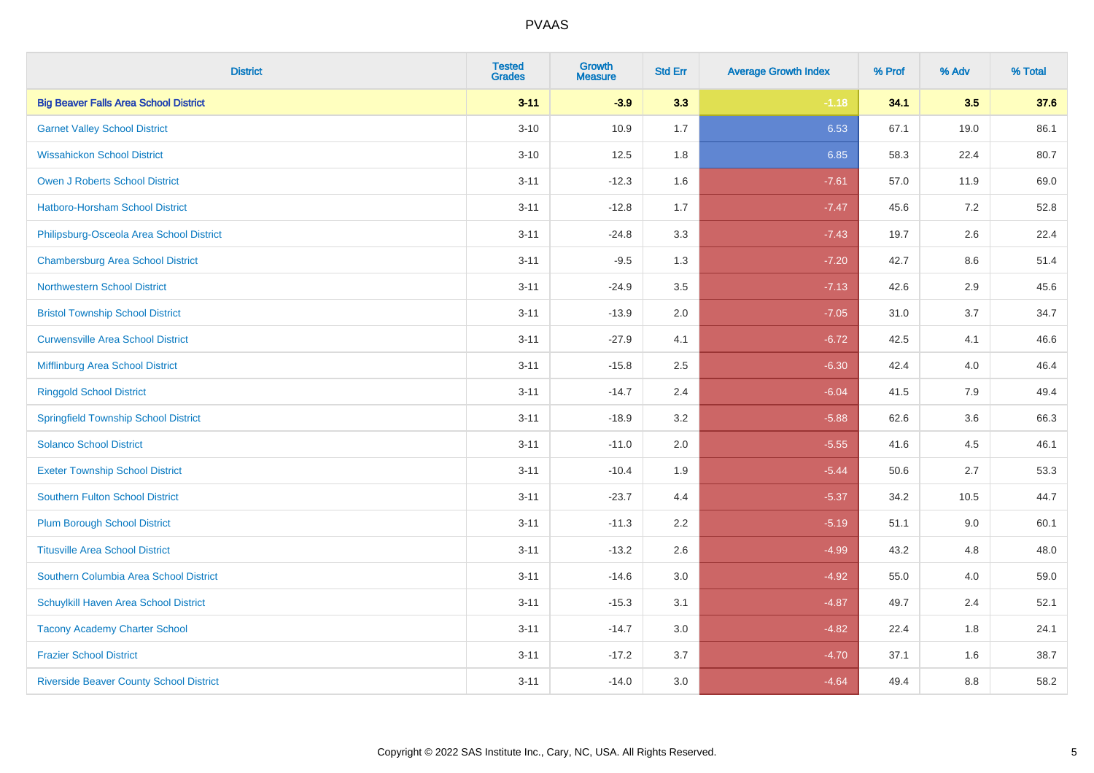| <b>District</b>                                | <b>Tested</b><br><b>Grades</b> | <b>Growth</b><br><b>Measure</b> | <b>Std Err</b> | <b>Average Growth Index</b> | % Prof | % Adv   | % Total |
|------------------------------------------------|--------------------------------|---------------------------------|----------------|-----------------------------|--------|---------|---------|
| <b>Big Beaver Falls Area School District</b>   | $3 - 11$                       | $-3.9$                          | 3.3            | $-1.18$                     | 34.1   | 3.5     | 37.6    |
| <b>Garnet Valley School District</b>           | $3 - 10$                       | 10.9                            | 1.7            | 6.53                        | 67.1   | 19.0    | 86.1    |
| <b>Wissahickon School District</b>             | $3 - 10$                       | 12.5                            | 1.8            | 6.85                        | 58.3   | 22.4    | 80.7    |
| <b>Owen J Roberts School District</b>          | $3 - 11$                       | $-12.3$                         | 1.6            | $-7.61$                     | 57.0   | 11.9    | 69.0    |
| Hatboro-Horsham School District                | $3 - 11$                       | $-12.8$                         | 1.7            | $-7.47$                     | 45.6   | 7.2     | 52.8    |
| Philipsburg-Osceola Area School District       | $3 - 11$                       | $-24.8$                         | 3.3            | $-7.43$                     | 19.7   | 2.6     | 22.4    |
| <b>Chambersburg Area School District</b>       | $3 - 11$                       | $-9.5$                          | 1.3            | $-7.20$                     | 42.7   | $8.6\,$ | 51.4    |
| <b>Northwestern School District</b>            | $3 - 11$                       | $-24.9$                         | 3.5            | $-7.13$                     | 42.6   | 2.9     | 45.6    |
| <b>Bristol Township School District</b>        | $3 - 11$                       | $-13.9$                         | 2.0            | $-7.05$                     | 31.0   | 3.7     | 34.7    |
| <b>Curwensville Area School District</b>       | $3 - 11$                       | $-27.9$                         | 4.1            | $-6.72$                     | 42.5   | 4.1     | 46.6    |
| Mifflinburg Area School District               | $3 - 11$                       | $-15.8$                         | 2.5            | $-6.30$                     | 42.4   | 4.0     | 46.4    |
| <b>Ringgold School District</b>                | $3 - 11$                       | $-14.7$                         | 2.4            | $-6.04$                     | 41.5   | 7.9     | 49.4    |
| <b>Springfield Township School District</b>    | $3 - 11$                       | $-18.9$                         | 3.2            | $-5.88$                     | 62.6   | 3.6     | 66.3    |
| <b>Solanco School District</b>                 | $3 - 11$                       | $-11.0$                         | 2.0            | $-5.55$                     | 41.6   | 4.5     | 46.1    |
| <b>Exeter Township School District</b>         | $3 - 11$                       | $-10.4$                         | 1.9            | $-5.44$                     | 50.6   | 2.7     | 53.3    |
| <b>Southern Fulton School District</b>         | $3 - 11$                       | $-23.7$                         | 4.4            | $-5.37$                     | 34.2   | 10.5    | 44.7    |
| <b>Plum Borough School District</b>            | $3 - 11$                       | $-11.3$                         | 2.2            | $-5.19$                     | 51.1   | 9.0     | 60.1    |
| <b>Titusville Area School District</b>         | $3 - 11$                       | $-13.2$                         | 2.6            | $-4.99$                     | 43.2   | 4.8     | 48.0    |
| Southern Columbia Area School District         | $3 - 11$                       | $-14.6$                         | 3.0            | $-4.92$                     | 55.0   | 4.0     | 59.0    |
| Schuylkill Haven Area School District          | $3 - 11$                       | $-15.3$                         | 3.1            | $-4.87$                     | 49.7   | 2.4     | 52.1    |
| <b>Tacony Academy Charter School</b>           | $3 - 11$                       | $-14.7$                         | 3.0            | $-4.82$                     | 22.4   | 1.8     | 24.1    |
| <b>Frazier School District</b>                 | $3 - 11$                       | $-17.2$                         | 3.7            | $-4.70$                     | 37.1   | 1.6     | 38.7    |
| <b>Riverside Beaver County School District</b> | $3 - 11$                       | $-14.0$                         | 3.0            | $-4.64$                     | 49.4   | 8.8     | 58.2    |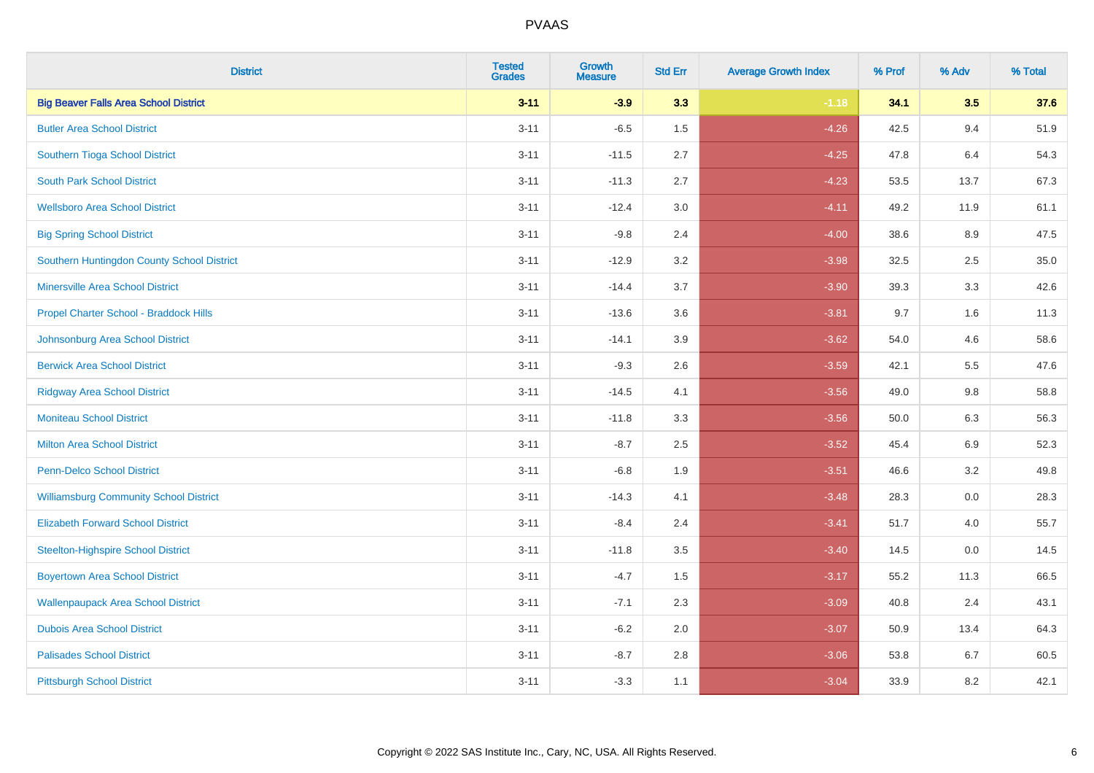| <b>District</b>                               | <b>Tested</b><br><b>Grades</b> | <b>Growth</b><br><b>Measure</b> | <b>Std Err</b> | <b>Average Growth Index</b> | % Prof | % Adv   | % Total |
|-----------------------------------------------|--------------------------------|---------------------------------|----------------|-----------------------------|--------|---------|---------|
| <b>Big Beaver Falls Area School District</b>  | $3 - 11$                       | $-3.9$                          | 3.3            | $-1.18$                     | 34.1   | 3.5     | 37.6    |
| <b>Butler Area School District</b>            | $3 - 11$                       | $-6.5$                          | 1.5            | $-4.26$                     | 42.5   | 9.4     | 51.9    |
| Southern Tioga School District                | $3 - 11$                       | $-11.5$                         | 2.7            | $-4.25$                     | 47.8   | 6.4     | 54.3    |
| <b>South Park School District</b>             | $3 - 11$                       | $-11.3$                         | 2.7            | $-4.23$                     | 53.5   | 13.7    | 67.3    |
| <b>Wellsboro Area School District</b>         | $3 - 11$                       | $-12.4$                         | 3.0            | $-4.11$                     | 49.2   | 11.9    | 61.1    |
| <b>Big Spring School District</b>             | $3 - 11$                       | $-9.8$                          | 2.4            | $-4.00$                     | 38.6   | 8.9     | 47.5    |
| Southern Huntingdon County School District    | $3 - 11$                       | $-12.9$                         | 3.2            | $-3.98$                     | 32.5   | 2.5     | 35.0    |
| <b>Minersville Area School District</b>       | $3 - 11$                       | $-14.4$                         | 3.7            | $-3.90$                     | 39.3   | 3.3     | 42.6    |
| Propel Charter School - Braddock Hills        | $3 - 11$                       | $-13.6$                         | 3.6            | $-3.81$                     | 9.7    | 1.6     | 11.3    |
| Johnsonburg Area School District              | $3 - 11$                       | $-14.1$                         | 3.9            | $-3.62$                     | 54.0   | 4.6     | 58.6    |
| <b>Berwick Area School District</b>           | $3 - 11$                       | $-9.3$                          | 2.6            | $-3.59$                     | 42.1   | 5.5     | 47.6    |
| <b>Ridgway Area School District</b>           | $3 - 11$                       | $-14.5$                         | 4.1            | $-3.56$                     | 49.0   | 9.8     | 58.8    |
| <b>Moniteau School District</b>               | $3 - 11$                       | $-11.8$                         | 3.3            | $-3.56$                     | 50.0   | $6.3\,$ | 56.3    |
| <b>Milton Area School District</b>            | $3 - 11$                       | $-8.7$                          | 2.5            | $-3.52$                     | 45.4   | 6.9     | 52.3    |
| <b>Penn-Delco School District</b>             | $3 - 11$                       | $-6.8$                          | 1.9            | $-3.51$                     | 46.6   | 3.2     | 49.8    |
| <b>Williamsburg Community School District</b> | $3 - 11$                       | $-14.3$                         | 4.1            | $-3.48$                     | 28.3   | $0.0\,$ | 28.3    |
| <b>Elizabeth Forward School District</b>      | $3 - 11$                       | $-8.4$                          | 2.4            | $-3.41$                     | 51.7   | 4.0     | 55.7    |
| <b>Steelton-Highspire School District</b>     | $3 - 11$                       | $-11.8$                         | 3.5            | $-3.40$                     | 14.5   | 0.0     | 14.5    |
| <b>Boyertown Area School District</b>         | $3 - 11$                       | $-4.7$                          | 1.5            | $-3.17$                     | 55.2   | 11.3    | 66.5    |
| <b>Wallenpaupack Area School District</b>     | $3 - 11$                       | $-7.1$                          | 2.3            | $-3.09$                     | 40.8   | 2.4     | 43.1    |
| <b>Dubois Area School District</b>            | $3 - 11$                       | $-6.2$                          | 2.0            | $-3.07$                     | 50.9   | 13.4    | 64.3    |
| <b>Palisades School District</b>              | $3 - 11$                       | $-8.7$                          | 2.8            | $-3.06$                     | 53.8   | 6.7     | 60.5    |
| <b>Pittsburgh School District</b>             | $3 - 11$                       | $-3.3$                          | 1.1            | $-3.04$                     | 33.9   | 8.2     | 42.1    |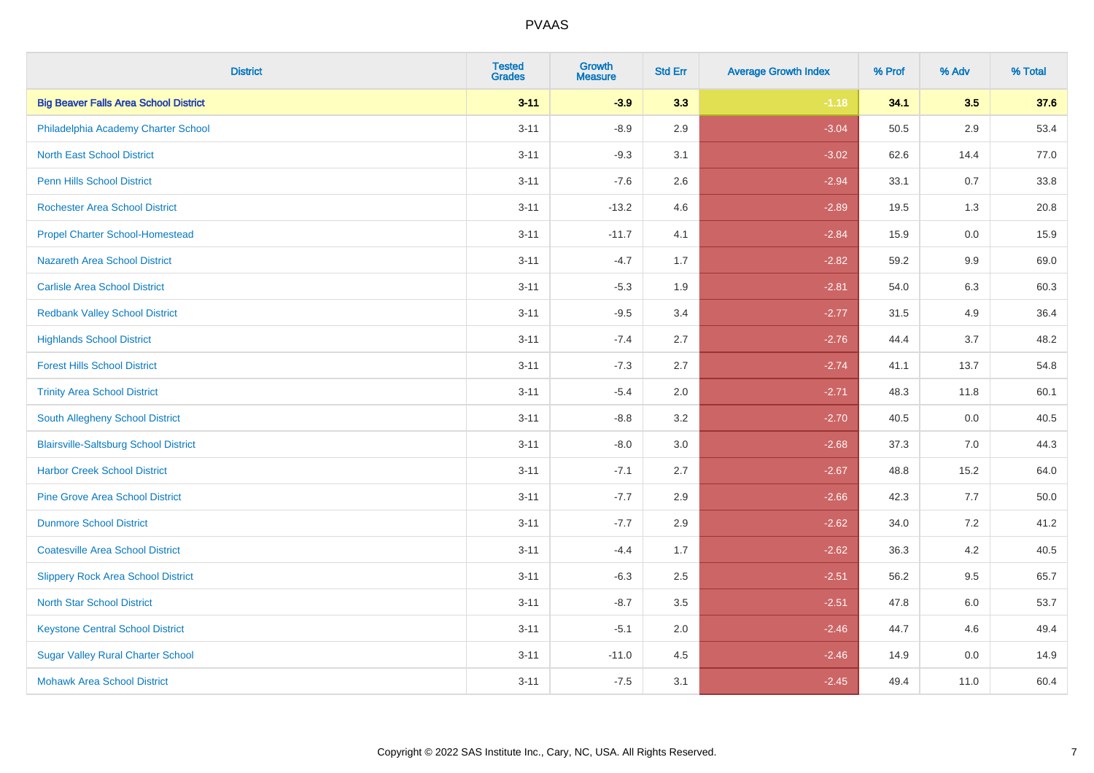| <b>District</b>                              | <b>Tested</b><br><b>Grades</b> | <b>Growth</b><br><b>Measure</b> | <b>Std Err</b> | <b>Average Growth Index</b> | % Prof | % Adv   | % Total |
|----------------------------------------------|--------------------------------|---------------------------------|----------------|-----------------------------|--------|---------|---------|
| <b>Big Beaver Falls Area School District</b> | $3 - 11$                       | $-3.9$                          | 3.3            | $-1.18$                     | 34.1   | 3.5     | 37.6    |
| Philadelphia Academy Charter School          | $3 - 11$                       | $-8.9$                          | 2.9            | $-3.04$                     | 50.5   | 2.9     | 53.4    |
| <b>North East School District</b>            | $3 - 11$                       | $-9.3$                          | 3.1            | $-3.02$                     | 62.6   | 14.4    | 77.0    |
| <b>Penn Hills School District</b>            | $3 - 11$                       | $-7.6$                          | 2.6            | $-2.94$                     | 33.1   | 0.7     | 33.8    |
| <b>Rochester Area School District</b>        | $3 - 11$                       | $-13.2$                         | 4.6            | $-2.89$                     | 19.5   | 1.3     | 20.8    |
| <b>Propel Charter School-Homestead</b>       | $3 - 11$                       | $-11.7$                         | 4.1            | $-2.84$                     | 15.9   | 0.0     | 15.9    |
| <b>Nazareth Area School District</b>         | $3 - 11$                       | $-4.7$                          | 1.7            | $-2.82$                     | 59.2   | $9.9\,$ | 69.0    |
| <b>Carlisle Area School District</b>         | $3 - 11$                       | $-5.3$                          | 1.9            | $-2.81$                     | 54.0   | 6.3     | 60.3    |
| <b>Redbank Valley School District</b>        | $3 - 11$                       | $-9.5$                          | 3.4            | $-2.77$                     | 31.5   | 4.9     | 36.4    |
| <b>Highlands School District</b>             | $3 - 11$                       | $-7.4$                          | 2.7            | $-2.76$                     | 44.4   | 3.7     | 48.2    |
| <b>Forest Hills School District</b>          | $3 - 11$                       | $-7.3$                          | 2.7            | $-2.74$                     | 41.1   | 13.7    | 54.8    |
| <b>Trinity Area School District</b>          | $3 - 11$                       | $-5.4$                          | 2.0            | $-2.71$                     | 48.3   | 11.8    | 60.1    |
| South Allegheny School District              | $3 - 11$                       | $-8.8$                          | 3.2            | $-2.70$                     | 40.5   | 0.0     | 40.5    |
| <b>Blairsville-Saltsburg School District</b> | $3 - 11$                       | $-8.0$                          | 3.0            | $-2.68$                     | 37.3   | 7.0     | 44.3    |
| <b>Harbor Creek School District</b>          | $3 - 11$                       | $-7.1$                          | 2.7            | $-2.67$                     | 48.8   | 15.2    | 64.0    |
| <b>Pine Grove Area School District</b>       | $3 - 11$                       | $-7.7$                          | 2.9            | $-2.66$                     | 42.3   | 7.7     | 50.0    |
| <b>Dunmore School District</b>               | $3 - 11$                       | $-7.7$                          | 2.9            | $-2.62$                     | 34.0   | 7.2     | 41.2    |
| <b>Coatesville Area School District</b>      | $3 - 11$                       | $-4.4$                          | 1.7            | $-2.62$                     | 36.3   | 4.2     | 40.5    |
| <b>Slippery Rock Area School District</b>    | $3 - 11$                       | $-6.3$                          | 2.5            | $-2.51$                     | 56.2   | 9.5     | 65.7    |
| <b>North Star School District</b>            | $3 - 11$                       | $-8.7$                          | 3.5            | $-2.51$                     | 47.8   | 6.0     | 53.7    |
| <b>Keystone Central School District</b>      | $3 - 11$                       | $-5.1$                          | 2.0            | $-2.46$                     | 44.7   | 4.6     | 49.4    |
| <b>Sugar Valley Rural Charter School</b>     | $3 - 11$                       | $-11.0$                         | 4.5            | $-2.46$                     | 14.9   | 0.0     | 14.9    |
| <b>Mohawk Area School District</b>           | $3 - 11$                       | $-7.5$                          | 3.1            | $-2.45$                     | 49.4   | 11.0    | 60.4    |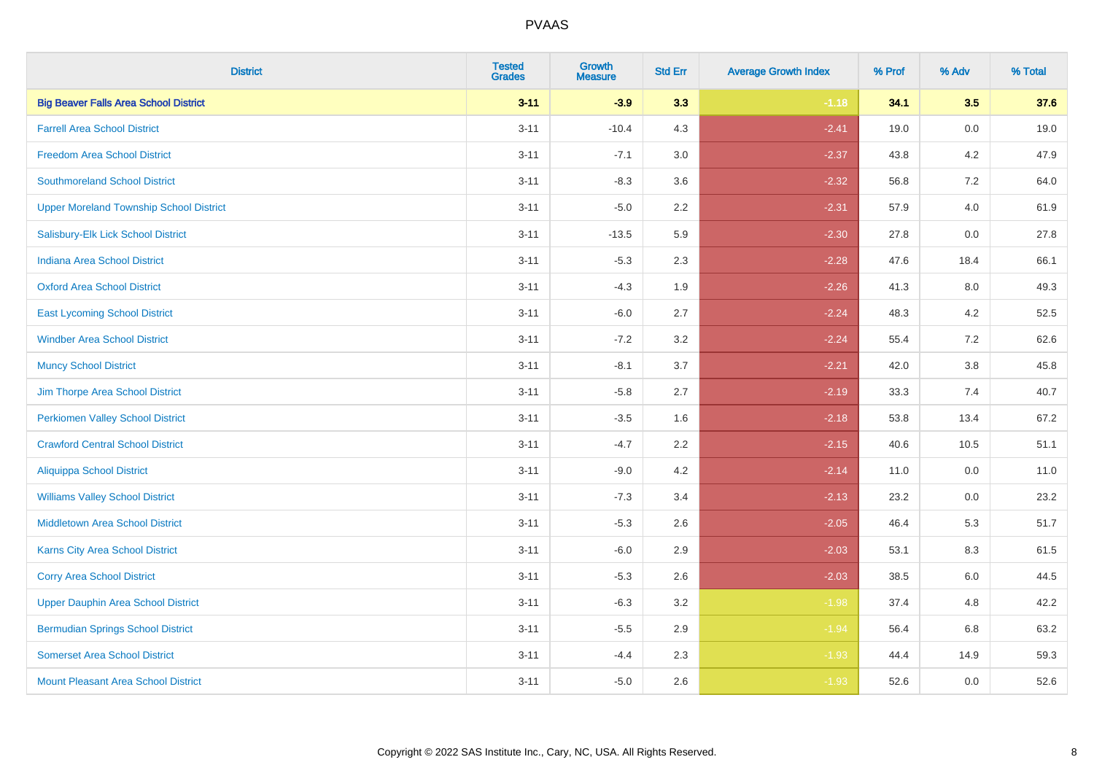| <b>District</b>                                | <b>Tested</b><br><b>Grades</b> | <b>Growth</b><br><b>Measure</b> | <b>Std Err</b> | <b>Average Growth Index</b> | % Prof | % Adv   | % Total |
|------------------------------------------------|--------------------------------|---------------------------------|----------------|-----------------------------|--------|---------|---------|
| <b>Big Beaver Falls Area School District</b>   | $3 - 11$                       | $-3.9$                          | 3.3            | $-1.18$                     | 34.1   | 3.5     | 37.6    |
| <b>Farrell Area School District</b>            | $3 - 11$                       | $-10.4$                         | 4.3            | $-2.41$                     | 19.0   | 0.0     | 19.0    |
| <b>Freedom Area School District</b>            | $3 - 11$                       | $-7.1$                          | 3.0            | $-2.37$                     | 43.8   | 4.2     | 47.9    |
| <b>Southmoreland School District</b>           | $3 - 11$                       | $-8.3$                          | 3.6            | $-2.32$                     | 56.8   | 7.2     | 64.0    |
| <b>Upper Moreland Township School District</b> | $3 - 11$                       | $-5.0$                          | 2.2            | $-2.31$                     | 57.9   | 4.0     | 61.9    |
| Salisbury-Elk Lick School District             | $3 - 11$                       | $-13.5$                         | 5.9            | $-2.30$                     | 27.8   | 0.0     | 27.8    |
| <b>Indiana Area School District</b>            | $3 - 11$                       | $-5.3$                          | 2.3            | $-2.28$                     | 47.6   | 18.4    | 66.1    |
| <b>Oxford Area School District</b>             | $3 - 11$                       | $-4.3$                          | 1.9            | $-2.26$                     | 41.3   | 8.0     | 49.3    |
| <b>East Lycoming School District</b>           | $3 - 11$                       | $-6.0$                          | 2.7            | $-2.24$                     | 48.3   | 4.2     | 52.5    |
| <b>Windber Area School District</b>            | $3 - 11$                       | $-7.2$                          | 3.2            | $-2.24$                     | 55.4   | 7.2     | 62.6    |
| <b>Muncy School District</b>                   | $3 - 11$                       | $-8.1$                          | 3.7            | $-2.21$                     | 42.0   | $3.8\,$ | 45.8    |
| Jim Thorpe Area School District                | $3 - 11$                       | $-5.8$                          | 2.7            | $-2.19$                     | 33.3   | 7.4     | 40.7    |
| <b>Perkiomen Valley School District</b>        | $3 - 11$                       | $-3.5$                          | 1.6            | $-2.18$                     | 53.8   | 13.4    | 67.2    |
| <b>Crawford Central School District</b>        | $3 - 11$                       | $-4.7$                          | 2.2            | $-2.15$                     | 40.6   | 10.5    | 51.1    |
| <b>Aliquippa School District</b>               | $3 - 11$                       | $-9.0$                          | 4.2            | $-2.14$                     | 11.0   | 0.0     | 11.0    |
| <b>Williams Valley School District</b>         | $3 - 11$                       | $-7.3$                          | 3.4            | $-2.13$                     | 23.2   | 0.0     | 23.2    |
| <b>Middletown Area School District</b>         | $3 - 11$                       | $-5.3$                          | 2.6            | $-2.05$                     | 46.4   | 5.3     | 51.7    |
| <b>Karns City Area School District</b>         | $3 - 11$                       | $-6.0$                          | 2.9            | $-2.03$                     | 53.1   | 8.3     | 61.5    |
| <b>Corry Area School District</b>              | $3 - 11$                       | $-5.3$                          | 2.6            | $-2.03$                     | 38.5   | 6.0     | 44.5    |
| <b>Upper Dauphin Area School District</b>      | $3 - 11$                       | $-6.3$                          | 3.2            | $-1.98$                     | 37.4   | 4.8     | 42.2    |
| <b>Bermudian Springs School District</b>       | $3 - 11$                       | $-5.5$                          | 2.9            | $-1.94$                     | 56.4   | 6.8     | 63.2    |
| <b>Somerset Area School District</b>           | $3 - 11$                       | $-4.4$                          | 2.3            | $-1.93$                     | 44.4   | 14.9    | 59.3    |
| Mount Pleasant Area School District            | $3 - 11$                       | $-5.0$                          | 2.6            | $-1.93$                     | 52.6   | 0.0     | 52.6    |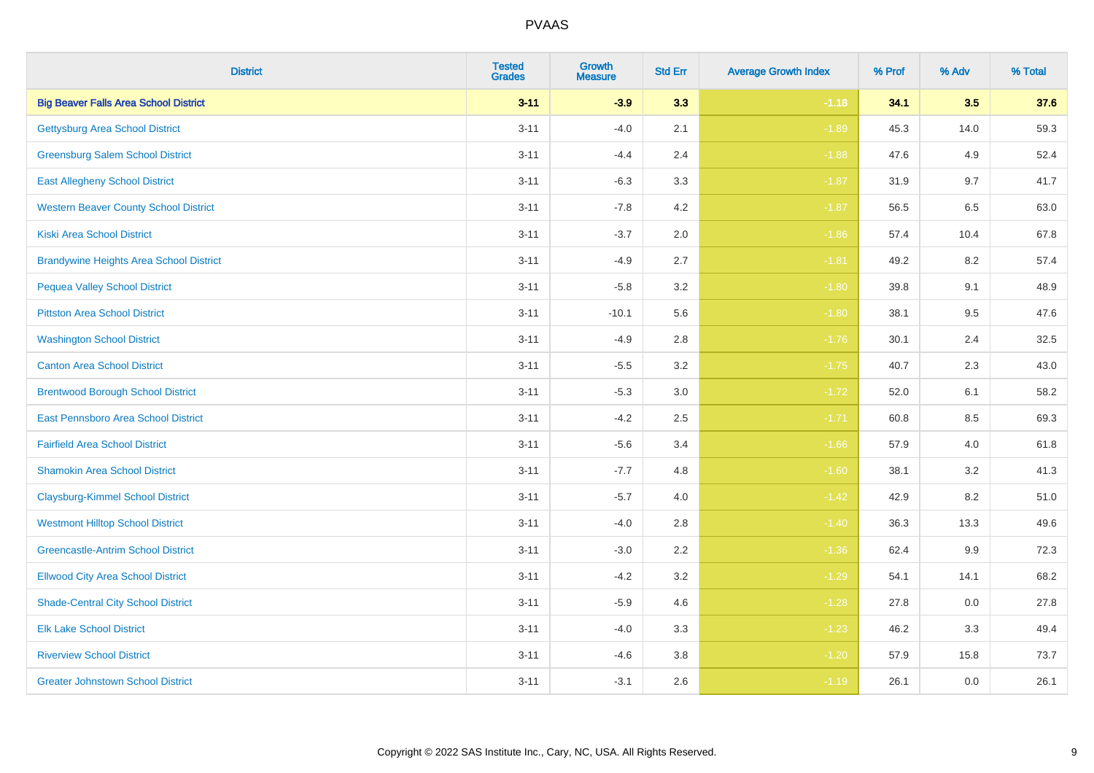| <b>District</b>                                | <b>Tested</b><br><b>Grades</b> | <b>Growth</b><br><b>Measure</b> | <b>Std Err</b> | <b>Average Growth Index</b> | % Prof | % Adv | % Total |
|------------------------------------------------|--------------------------------|---------------------------------|----------------|-----------------------------|--------|-------|---------|
| <b>Big Beaver Falls Area School District</b>   | $3 - 11$                       | $-3.9$                          | 3.3            | $-1.18$                     | 34.1   | 3.5   | 37.6    |
| <b>Gettysburg Area School District</b>         | $3 - 11$                       | $-4.0$                          | 2.1            | $-1.89$                     | 45.3   | 14.0  | 59.3    |
| <b>Greensburg Salem School District</b>        | $3 - 11$                       | $-4.4$                          | 2.4            | $-1.88$                     | 47.6   | 4.9   | 52.4    |
| <b>East Allegheny School District</b>          | $3 - 11$                       | $-6.3$                          | 3.3            | $-1.87$                     | 31.9   | 9.7   | 41.7    |
| <b>Western Beaver County School District</b>   | $3 - 11$                       | $-7.8$                          | 4.2            | $-1.87$                     | 56.5   | 6.5   | 63.0    |
| <b>Kiski Area School District</b>              | $3 - 11$                       | $-3.7$                          | 2.0            | $-1.86$                     | 57.4   | 10.4  | 67.8    |
| <b>Brandywine Heights Area School District</b> | $3 - 11$                       | $-4.9$                          | 2.7            | $-1.81$                     | 49.2   | 8.2   | 57.4    |
| <b>Pequea Valley School District</b>           | $3 - 11$                       | $-5.8$                          | 3.2            | $-1.80$                     | 39.8   | 9.1   | 48.9    |
| <b>Pittston Area School District</b>           | $3 - 11$                       | $-10.1$                         | 5.6            | $-1.80$                     | 38.1   | 9.5   | 47.6    |
| <b>Washington School District</b>              | $3 - 11$                       | $-4.9$                          | 2.8            | $-1.76$                     | 30.1   | 2.4   | 32.5    |
| <b>Canton Area School District</b>             | $3 - 11$                       | $-5.5$                          | 3.2            | $-1.75$                     | 40.7   | 2.3   | 43.0    |
| <b>Brentwood Borough School District</b>       | $3 - 11$                       | $-5.3$                          | 3.0            | $-1.72$                     | 52.0   | 6.1   | 58.2    |
| East Pennsboro Area School District            | $3 - 11$                       | $-4.2$                          | 2.5            | $-1.71$                     | 60.8   | 8.5   | 69.3    |
| <b>Fairfield Area School District</b>          | $3 - 11$                       | $-5.6$                          | 3.4            | $-1.66$                     | 57.9   | 4.0   | 61.8    |
| <b>Shamokin Area School District</b>           | $3 - 11$                       | $-7.7$                          | 4.8            | $-1.60$                     | 38.1   | 3.2   | 41.3    |
| <b>Claysburg-Kimmel School District</b>        | $3 - 11$                       | $-5.7$                          | 4.0            | $-1.42$                     | 42.9   | 8.2   | 51.0    |
| <b>Westmont Hilltop School District</b>        | $3 - 11$                       | $-4.0$                          | 2.8            | $-1.40$                     | 36.3   | 13.3  | 49.6    |
| <b>Greencastle-Antrim School District</b>      | $3 - 11$                       | $-3.0$                          | 2.2            | $-1.36$                     | 62.4   | 9.9   | 72.3    |
| <b>Ellwood City Area School District</b>       | $3 - 11$                       | $-4.2$                          | 3.2            | $-1.29$                     | 54.1   | 14.1  | 68.2    |
| <b>Shade-Central City School District</b>      | $3 - 11$                       | $-5.9$                          | 4.6            | $-1.28$                     | 27.8   | 0.0   | 27.8    |
| <b>Elk Lake School District</b>                | $3 - 11$                       | $-4.0$                          | 3.3            | $-1.23$                     | 46.2   | 3.3   | 49.4    |
| <b>Riverview School District</b>               | $3 - 11$                       | $-4.6$                          | 3.8            | $-1.20$                     | 57.9   | 15.8  | 73.7    |
| <b>Greater Johnstown School District</b>       | $3 - 11$                       | $-3.1$                          | 2.6            | $-1.19$                     | 26.1   | 0.0   | 26.1    |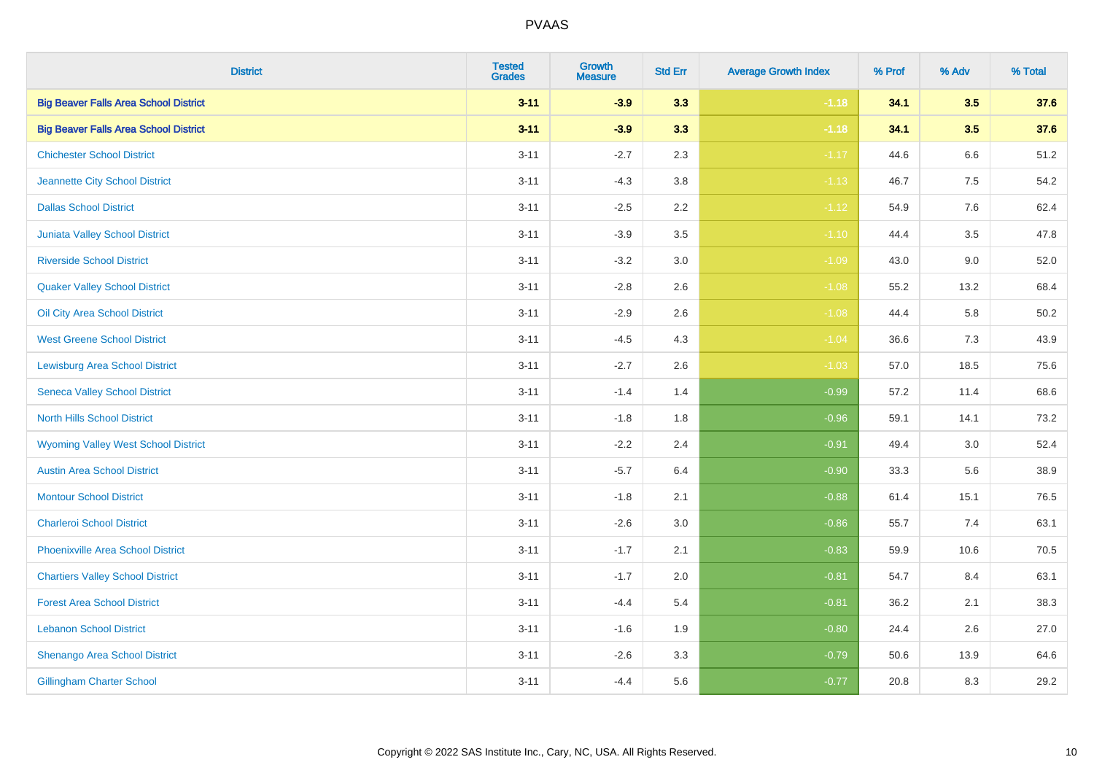| <b>District</b>                              | <b>Tested</b><br>Grades | Growth<br><b>Measure</b> | <b>Std Err</b> | <b>Average Growth Index</b> | % Prof | % Adv   | % Total |
|----------------------------------------------|-------------------------|--------------------------|----------------|-----------------------------|--------|---------|---------|
| <b>Big Beaver Falls Area School District</b> | $3 - 11$                | $-3.9$                   | 3.3            | $-1.18$                     | 34.1   | 3.5     | 37.6    |
| <b>Big Beaver Falls Area School District</b> | $3 - 11$                | $-3.9$                   | 3.3            | $-1.18$                     | 34.1   | 3.5     | 37.6    |
| <b>Chichester School District</b>            | $3 - 11$                | $-2.7$                   | 2.3            | $-1.17$                     | 44.6   | 6.6     | 51.2    |
| Jeannette City School District               | $3 - 11$                | $-4.3$                   | $3.8\,$        | $-1.13$                     | 46.7   | $7.5\,$ | 54.2    |
| <b>Dallas School District</b>                | $3 - 11$                | $-2.5$                   | 2.2            | $-1.12$                     | 54.9   | 7.6     | 62.4    |
| Juniata Valley School District               | $3 - 11$                | $-3.9$                   | 3.5            | $-1.10$                     | 44.4   | 3.5     | 47.8    |
| <b>Riverside School District</b>             | $3 - 11$                | $-3.2$                   | 3.0            | $-1.09$                     | 43.0   | 9.0     | 52.0    |
| <b>Quaker Valley School District</b>         | $3 - 11$                | $-2.8$                   | 2.6            | $-1.08$                     | 55.2   | 13.2    | 68.4    |
| Oil City Area School District                | $3 - 11$                | $-2.9$                   | 2.6            | $-1.08$                     | 44.4   | 5.8     | 50.2    |
| <b>West Greene School District</b>           | $3 - 11$                | $-4.5$                   | 4.3            | $-1.04$                     | 36.6   | 7.3     | 43.9    |
| <b>Lewisburg Area School District</b>        | $3 - 11$                | $-2.7$                   | 2.6            | $-1.03$                     | 57.0   | 18.5    | 75.6    |
| <b>Seneca Valley School District</b>         | $3 - 11$                | $-1.4$                   | 1.4            | $-0.99$                     | 57.2   | 11.4    | 68.6    |
| <b>North Hills School District</b>           | $3 - 11$                | $-1.8$                   | 1.8            | $-0.96$                     | 59.1   | 14.1    | 73.2    |
| <b>Wyoming Valley West School District</b>   | $3 - 11$                | $-2.2$                   | 2.4            | $-0.91$                     | 49.4   | 3.0     | 52.4    |
| <b>Austin Area School District</b>           | $3 - 11$                | $-5.7$                   | 6.4            | $-0.90$                     | 33.3   | 5.6     | 38.9    |
| <b>Montour School District</b>               | $3 - 11$                | $-1.8$                   | 2.1            | $-0.88$                     | 61.4   | 15.1    | 76.5    |
| <b>Charleroi School District</b>             | $3 - 11$                | $-2.6$                   | 3.0            | $-0.86$                     | 55.7   | 7.4     | 63.1    |
| <b>Phoenixville Area School District</b>     | $3 - 11$                | $-1.7$                   | 2.1            | $-0.83$                     | 59.9   | 10.6    | 70.5    |
| <b>Chartiers Valley School District</b>      | $3 - 11$                | $-1.7$                   | 2.0            | $-0.81$                     | 54.7   | 8.4     | 63.1    |
| <b>Forest Area School District</b>           | $3 - 11$                | $-4.4$                   | 5.4            | $-0.81$                     | 36.2   | 2.1     | 38.3    |
| <b>Lebanon School District</b>               | $3 - 11$                | $-1.6$                   | 1.9            | $-0.80$                     | 24.4   | 2.6     | 27.0    |
| Shenango Area School District                | $3 - 11$                | $-2.6$                   | 3.3            | $-0.79$                     | 50.6   | 13.9    | 64.6    |
| <b>Gillingham Charter School</b>             | $3 - 11$                | $-4.4$                   | 5.6            | $-0.77$                     | 20.8   | 8.3     | 29.2    |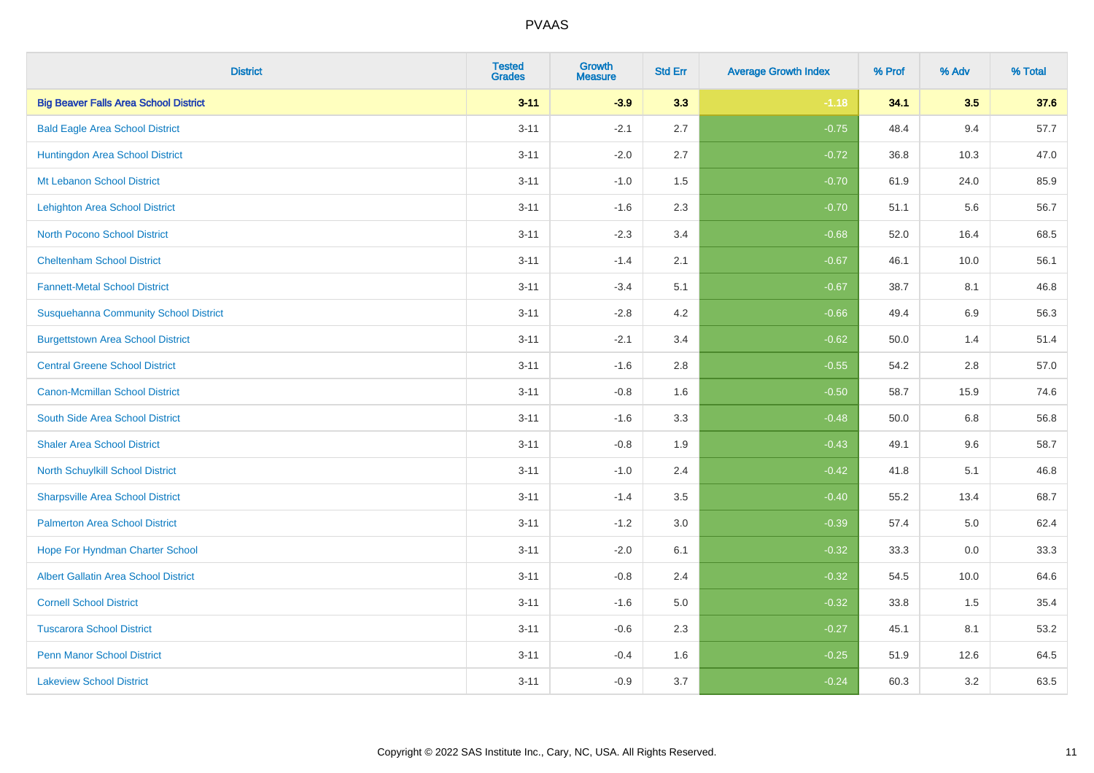| <b>District</b>                              | <b>Tested</b><br><b>Grades</b> | <b>Growth</b><br><b>Measure</b> | <b>Std Err</b> | <b>Average Growth Index</b> | % Prof | % Adv   | % Total |
|----------------------------------------------|--------------------------------|---------------------------------|----------------|-----------------------------|--------|---------|---------|
| <b>Big Beaver Falls Area School District</b> | $3 - 11$                       | $-3.9$                          | 3.3            | $-1.18$                     | 34.1   | 3.5     | 37.6    |
| <b>Bald Eagle Area School District</b>       | $3 - 11$                       | $-2.1$                          | 2.7            | $-0.75$                     | 48.4   | 9.4     | 57.7    |
| Huntingdon Area School District              | $3 - 11$                       | $-2.0$                          | 2.7            | $-0.72$                     | 36.8   | 10.3    | 47.0    |
| Mt Lebanon School District                   | $3 - 11$                       | $-1.0$                          | 1.5            | $-0.70$                     | 61.9   | 24.0    | 85.9    |
| <b>Lehighton Area School District</b>        | $3 - 11$                       | $-1.6$                          | 2.3            | $-0.70$                     | 51.1   | 5.6     | 56.7    |
| <b>North Pocono School District</b>          | $3 - 11$                       | $-2.3$                          | 3.4            | $-0.68$                     | 52.0   | 16.4    | 68.5    |
| <b>Cheltenham School District</b>            | $3 - 11$                       | $-1.4$                          | 2.1            | $-0.67$                     | 46.1   | 10.0    | 56.1    |
| <b>Fannett-Metal School District</b>         | $3 - 11$                       | $-3.4$                          | 5.1            | $-0.67$                     | 38.7   | 8.1     | 46.8    |
| <b>Susquehanna Community School District</b> | $3 - 11$                       | $-2.8$                          | 4.2            | $-0.66$                     | 49.4   | 6.9     | 56.3    |
| <b>Burgettstown Area School District</b>     | $3 - 11$                       | $-2.1$                          | 3.4            | $-0.62$                     | 50.0   | 1.4     | 51.4    |
| <b>Central Greene School District</b>        | $3 - 11$                       | $-1.6$                          | 2.8            | $-0.55$                     | 54.2   | 2.8     | 57.0    |
| <b>Canon-Mcmillan School District</b>        | $3 - 11$                       | $-0.8$                          | 1.6            | $-0.50$                     | 58.7   | 15.9    | 74.6    |
| South Side Area School District              | $3 - 11$                       | $-1.6$                          | 3.3            | $-0.48$                     | 50.0   | $6.8\,$ | 56.8    |
| <b>Shaler Area School District</b>           | $3 - 11$                       | $-0.8$                          | 1.9            | $-0.43$                     | 49.1   | 9.6     | 58.7    |
| North Schuylkill School District             | $3 - 11$                       | $-1.0$                          | 2.4            | $-0.42$                     | 41.8   | 5.1     | 46.8    |
| <b>Sharpsville Area School District</b>      | $3 - 11$                       | $-1.4$                          | 3.5            | $-0.40$                     | 55.2   | 13.4    | 68.7    |
| <b>Palmerton Area School District</b>        | $3 - 11$                       | $-1.2$                          | 3.0            | $-0.39$                     | 57.4   | $5.0\,$ | 62.4    |
| Hope For Hyndman Charter School              | $3 - 11$                       | $-2.0$                          | 6.1            | $-0.32$                     | 33.3   | 0.0     | 33.3    |
| <b>Albert Gallatin Area School District</b>  | $3 - 11$                       | $-0.8$                          | 2.4            | $-0.32$                     | 54.5   | 10.0    | 64.6    |
| <b>Cornell School District</b>               | $3 - 11$                       | $-1.6$                          | 5.0            | $-0.32$                     | 33.8   | 1.5     | 35.4    |
| <b>Tuscarora School District</b>             | $3 - 11$                       | $-0.6$                          | 2.3            | $-0.27$                     | 45.1   | 8.1     | 53.2    |
| <b>Penn Manor School District</b>            | $3 - 11$                       | $-0.4$                          | 1.6            | $-0.25$                     | 51.9   | 12.6    | 64.5    |
| <b>Lakeview School District</b>              | $3 - 11$                       | $-0.9$                          | 3.7            | $-0.24$                     | 60.3   | 3.2     | 63.5    |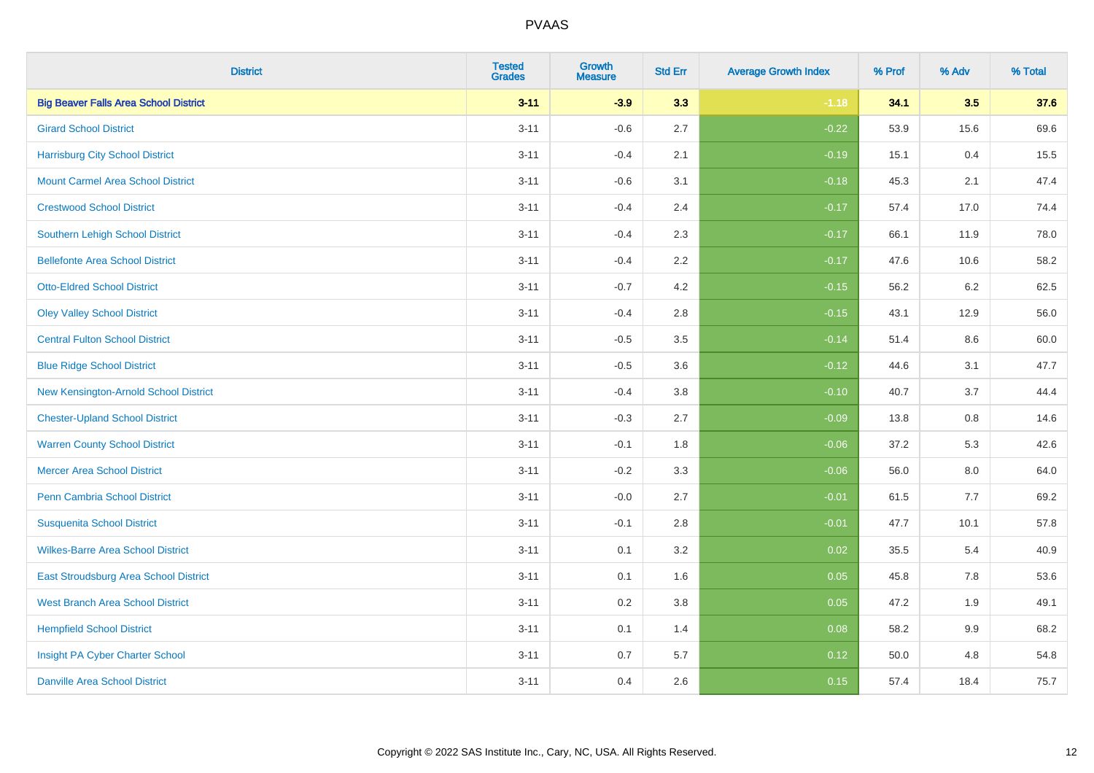| <b>District</b>                              | <b>Tested</b><br><b>Grades</b> | <b>Growth</b><br><b>Measure</b> | <b>Std Err</b> | <b>Average Growth Index</b> | % Prof | % Adv   | % Total |
|----------------------------------------------|--------------------------------|---------------------------------|----------------|-----------------------------|--------|---------|---------|
| <b>Big Beaver Falls Area School District</b> | $3 - 11$                       | $-3.9$                          | 3.3            | $-1.18$                     | 34.1   | 3.5     | 37.6    |
| <b>Girard School District</b>                | $3 - 11$                       | $-0.6$                          | 2.7            | $-0.22$                     | 53.9   | 15.6    | 69.6    |
| <b>Harrisburg City School District</b>       | $3 - 11$                       | $-0.4$                          | 2.1            | $-0.19$                     | 15.1   | 0.4     | 15.5    |
| <b>Mount Carmel Area School District</b>     | $3 - 11$                       | $-0.6$                          | 3.1            | $-0.18$                     | 45.3   | 2.1     | 47.4    |
| <b>Crestwood School District</b>             | $3 - 11$                       | $-0.4$                          | 2.4            | $-0.17$                     | 57.4   | 17.0    | 74.4    |
| Southern Lehigh School District              | $3 - 11$                       | $-0.4$                          | 2.3            | $-0.17$                     | 66.1   | 11.9    | 78.0    |
| <b>Bellefonte Area School District</b>       | $3 - 11$                       | $-0.4$                          | 2.2            | $-0.17$                     | 47.6   | 10.6    | 58.2    |
| <b>Otto-Eldred School District</b>           | $3 - 11$                       | $-0.7$                          | 4.2            | $-0.15$                     | 56.2   | 6.2     | 62.5    |
| <b>Oley Valley School District</b>           | $3 - 11$                       | $-0.4$                          | 2.8            | $-0.15$                     | 43.1   | 12.9    | 56.0    |
| <b>Central Fulton School District</b>        | $3 - 11$                       | $-0.5$                          | 3.5            | $-0.14$                     | 51.4   | 8.6     | 60.0    |
| <b>Blue Ridge School District</b>            | $3 - 11$                       | $-0.5$                          | 3.6            | $-0.12$                     | 44.6   | 3.1     | 47.7    |
| New Kensington-Arnold School District        | $3 - 11$                       | $-0.4$                          | 3.8            | $-0.10$                     | 40.7   | 3.7     | 44.4    |
| <b>Chester-Upland School District</b>        | $3 - 11$                       | $-0.3$                          | 2.7            | $-0.09$                     | 13.8   | $0.8\,$ | 14.6    |
| <b>Warren County School District</b>         | $3 - 11$                       | $-0.1$                          | 1.8            | $-0.06$                     | 37.2   | 5.3     | 42.6    |
| <b>Mercer Area School District</b>           | $3 - 11$                       | $-0.2$                          | 3.3            | $-0.06$                     | 56.0   | 8.0     | 64.0    |
| Penn Cambria School District                 | $3 - 11$                       | $-0.0$                          | 2.7            | $-0.01$                     | 61.5   | $7.7$   | 69.2    |
| <b>Susquenita School District</b>            | $3 - 11$                       | $-0.1$                          | 2.8            | $-0.01$                     | 47.7   | 10.1    | 57.8    |
| <b>Wilkes-Barre Area School District</b>     | $3 - 11$                       | 0.1                             | 3.2            | 0.02                        | 35.5   | 5.4     | 40.9    |
| East Stroudsburg Area School District        | $3 - 11$                       | 0.1                             | 1.6            | 0.05                        | 45.8   | 7.8     | 53.6    |
| <b>West Branch Area School District</b>      | $3 - 11$                       | 0.2                             | 3.8            | 0.05                        | 47.2   | 1.9     | 49.1    |
| <b>Hempfield School District</b>             | $3 - 11$                       | 0.1                             | 1.4            | 0.08                        | 58.2   | 9.9     | 68.2    |
| Insight PA Cyber Charter School              | $3 - 11$                       | 0.7                             | 5.7            | 0.12                        | 50.0   | 4.8     | 54.8    |
| <b>Danville Area School District</b>         | $3 - 11$                       | 0.4                             | 2.6            | 0.15                        | 57.4   | 18.4    | 75.7    |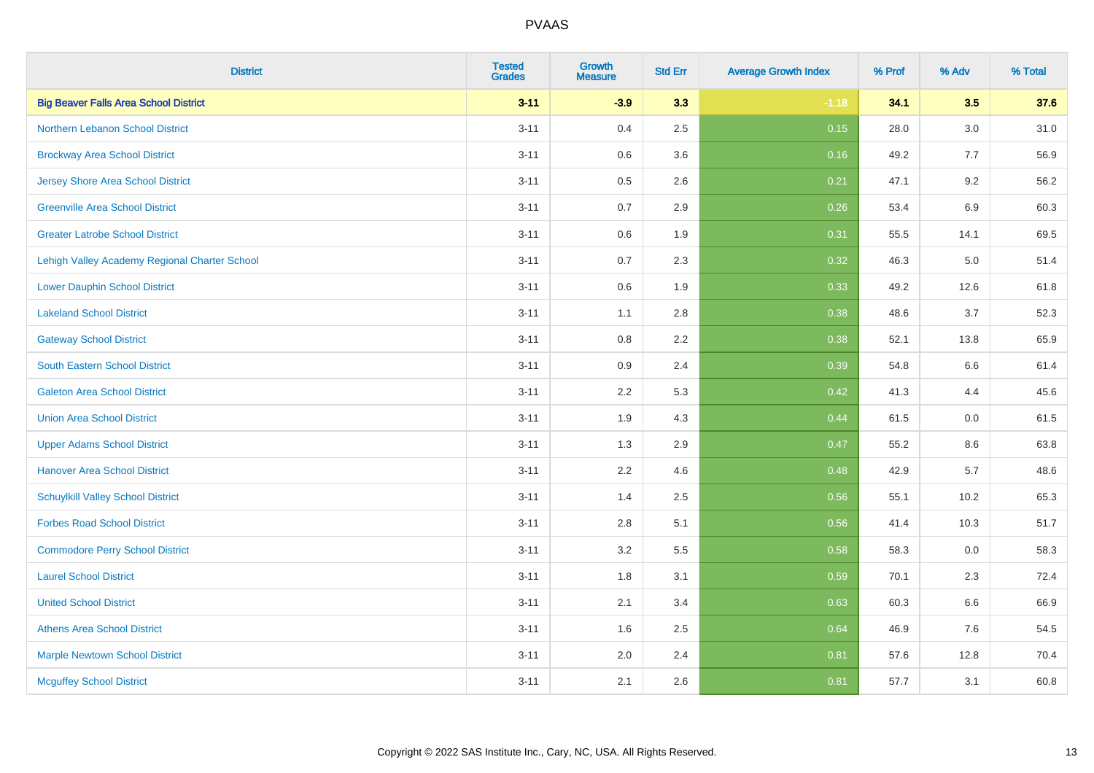| <b>District</b>                               | <b>Tested</b><br><b>Grades</b> | Growth<br>Measure | <b>Std Err</b> | <b>Average Growth Index</b> | % Prof | % Adv   | % Total |
|-----------------------------------------------|--------------------------------|-------------------|----------------|-----------------------------|--------|---------|---------|
| <b>Big Beaver Falls Area School District</b>  | $3 - 11$                       | $-3.9$            | 3.3            | $-1.18$                     | 34.1   | 3.5     | 37.6    |
| Northern Lebanon School District              | $3 - 11$                       | 0.4               | 2.5            | 0.15                        | 28.0   | 3.0     | 31.0    |
| <b>Brockway Area School District</b>          | $3 - 11$                       | 0.6               | 3.6            | 0.16                        | 49.2   | 7.7     | 56.9    |
| <b>Jersey Shore Area School District</b>      | $3 - 11$                       | 0.5               | 2.6            | 0.21                        | 47.1   | 9.2     | 56.2    |
| <b>Greenville Area School District</b>        | $3 - 11$                       | 0.7               | 2.9            | 0.26                        | 53.4   | 6.9     | 60.3    |
| <b>Greater Latrobe School District</b>        | $3 - 11$                       | 0.6               | 1.9            | 0.31                        | 55.5   | 14.1    | 69.5    |
| Lehigh Valley Academy Regional Charter School | $3 - 11$                       | 0.7               | 2.3            | 0.32                        | 46.3   | $5.0\,$ | 51.4    |
| <b>Lower Dauphin School District</b>          | $3 - 11$                       | 0.6               | 1.9            | 0.33                        | 49.2   | 12.6    | 61.8    |
| <b>Lakeland School District</b>               | $3 - 11$                       | 1.1               | 2.8            | 0.38                        | 48.6   | 3.7     | 52.3    |
| <b>Gateway School District</b>                | $3 - 11$                       | $0.8\,$           | 2.2            | 0.38                        | 52.1   | 13.8    | 65.9    |
| <b>South Eastern School District</b>          | $3 - 11$                       | 0.9               | 2.4            | 0.39                        | 54.8   | 6.6     | 61.4    |
| <b>Galeton Area School District</b>           | $3 - 11$                       | 2.2               | 5.3            | 0.42                        | 41.3   | 4.4     | 45.6    |
| <b>Union Area School District</b>             | $3 - 11$                       | 1.9               | 4.3            | 0.44                        | 61.5   | 0.0     | 61.5    |
| <b>Upper Adams School District</b>            | $3 - 11$                       | 1.3               | 2.9            | 0.47                        | 55.2   | 8.6     | 63.8    |
| <b>Hanover Area School District</b>           | $3 - 11$                       | 2.2               | 4.6            | 0.48                        | 42.9   | 5.7     | 48.6    |
| <b>Schuylkill Valley School District</b>      | $3 - 11$                       | 1.4               | 2.5            | 0.56                        | 55.1   | 10.2    | 65.3    |
| <b>Forbes Road School District</b>            | $3 - 11$                       | 2.8               | 5.1            | 0.56                        | 41.4   | 10.3    | 51.7    |
| <b>Commodore Perry School District</b>        | $3 - 11$                       | 3.2               | 5.5            | 0.58                        | 58.3   | 0.0     | 58.3    |
| <b>Laurel School District</b>                 | $3 - 11$                       | 1.8               | 3.1            | 0.59                        | 70.1   | 2.3     | 72.4    |
| <b>United School District</b>                 | $3 - 11$                       | 2.1               | 3.4            | 0.63                        | 60.3   | 6.6     | 66.9    |
| <b>Athens Area School District</b>            | $3 - 11$                       | 1.6               | 2.5            | 0.64                        | 46.9   | 7.6     | 54.5    |
| <b>Marple Newtown School District</b>         | $3 - 11$                       | 2.0               | 2.4            | 0.81                        | 57.6   | 12.8    | 70.4    |
| <b>Mcguffey School District</b>               | $3 - 11$                       | 2.1               | 2.6            | 0.81                        | 57.7   | 3.1     | 60.8    |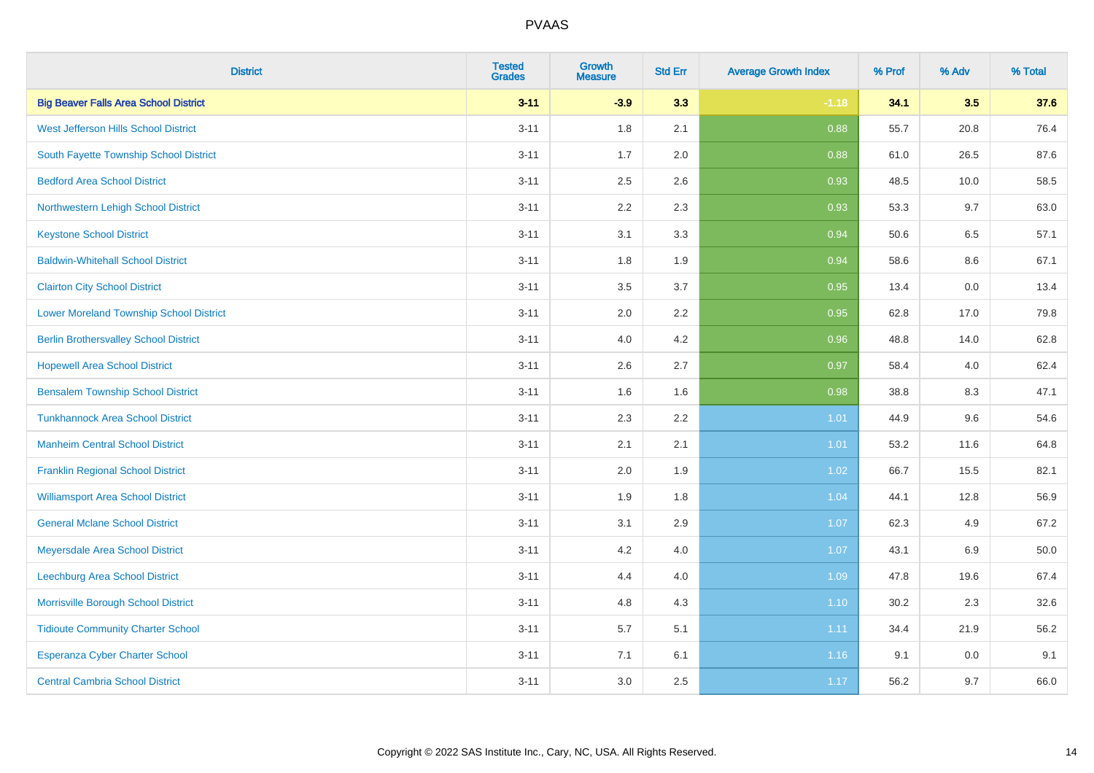| <b>District</b>                                | <b>Tested</b><br><b>Grades</b> | Growth<br><b>Measure</b> | <b>Std Err</b> | <b>Average Growth Index</b> | % Prof | % Adv | % Total |
|------------------------------------------------|--------------------------------|--------------------------|----------------|-----------------------------|--------|-------|---------|
| <b>Big Beaver Falls Area School District</b>   | $3 - 11$                       | $-3.9$                   | 3.3            | $-1.18$                     | 34.1   | 3.5   | 37.6    |
| West Jefferson Hills School District           | $3 - 11$                       | 1.8                      | 2.1            | 0.88                        | 55.7   | 20.8  | 76.4    |
| South Fayette Township School District         | $3 - 11$                       | 1.7                      | 2.0            | 0.88                        | 61.0   | 26.5  | 87.6    |
| <b>Bedford Area School District</b>            | $3 - 11$                       | 2.5                      | 2.6            | 0.93                        | 48.5   | 10.0  | 58.5    |
| Northwestern Lehigh School District            | $3 - 11$                       | 2.2                      | 2.3            | 0.93                        | 53.3   | 9.7   | 63.0    |
| <b>Keystone School District</b>                | $3 - 11$                       | 3.1                      | 3.3            | 0.94                        | 50.6   | 6.5   | 57.1    |
| <b>Baldwin-Whitehall School District</b>       | $3 - 11$                       | 1.8                      | 1.9            | 0.94                        | 58.6   | 8.6   | 67.1    |
| <b>Clairton City School District</b>           | $3 - 11$                       | 3.5                      | 3.7            | 0.95                        | 13.4   | 0.0   | 13.4    |
| <b>Lower Moreland Township School District</b> | $3 - 11$                       | 2.0                      | 2.2            | 0.95                        | 62.8   | 17.0  | 79.8    |
| <b>Berlin Brothersvalley School District</b>   | $3 - 11$                       | 4.0                      | 4.2            | 0.96                        | 48.8   | 14.0  | 62.8    |
| <b>Hopewell Area School District</b>           | $3 - 11$                       | 2.6                      | 2.7            | 0.97                        | 58.4   | 4.0   | 62.4    |
| <b>Bensalem Township School District</b>       | $3 - 11$                       | 1.6                      | 1.6            | 0.98                        | 38.8   | 8.3   | 47.1    |
| <b>Tunkhannock Area School District</b>        | $3 - 11$                       | 2.3                      | 2.2            | 1.01                        | 44.9   | 9.6   | 54.6    |
| <b>Manheim Central School District</b>         | $3 - 11$                       | 2.1                      | 2.1            | 1.01                        | 53.2   | 11.6  | 64.8    |
| <b>Franklin Regional School District</b>       | $3 - 11$                       | 2.0                      | 1.9            | 1.02                        | 66.7   | 15.5  | 82.1    |
| <b>Williamsport Area School District</b>       | $3 - 11$                       | 1.9                      | 1.8            | 1.04                        | 44.1   | 12.8  | 56.9    |
| <b>General Mclane School District</b>          | $3 - 11$                       | 3.1                      | 2.9            | 1.07                        | 62.3   | 4.9   | 67.2    |
| Meyersdale Area School District                | $3 - 11$                       | 4.2                      | 4.0            | 1.07                        | 43.1   | 6.9   | 50.0    |
| Leechburg Area School District                 | $3 - 11$                       | 4.4                      | 4.0            | 1.09                        | 47.8   | 19.6  | 67.4    |
| Morrisville Borough School District            | $3 - 11$                       | 4.8                      | 4.3            | $1.10$                      | 30.2   | 2.3   | 32.6    |
| <b>Tidioute Community Charter School</b>       | $3 - 11$                       | 5.7                      | 5.1            | 1.11                        | 34.4   | 21.9  | 56.2    |
| <b>Esperanza Cyber Charter School</b>          | $3 - 11$                       | 7.1                      | 6.1            | 1.16                        | 9.1    | 0.0   | 9.1     |
| <b>Central Cambria School District</b>         | $3 - 11$                       | 3.0                      | 2.5            | 1.17                        | 56.2   | 9.7   | 66.0    |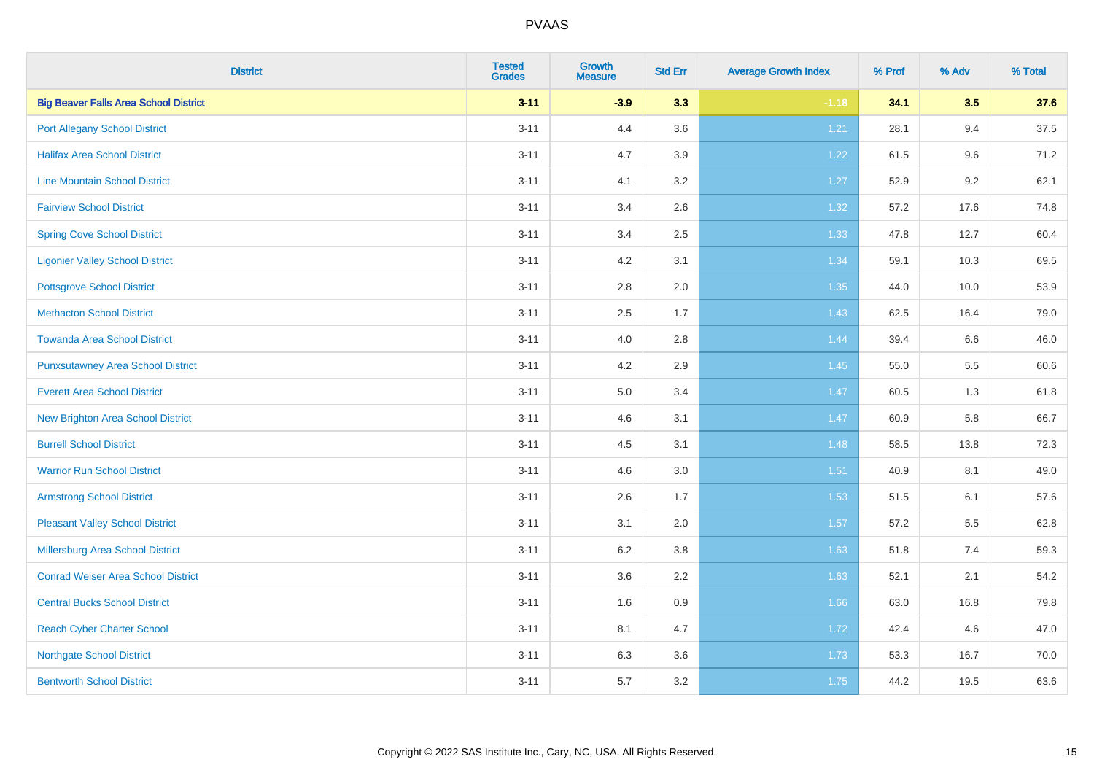| <b>District</b>                              | <b>Tested</b><br><b>Grades</b> | Growth<br><b>Measure</b> | <b>Std Err</b> | <b>Average Growth Index</b> | % Prof | % Adv   | % Total |
|----------------------------------------------|--------------------------------|--------------------------|----------------|-----------------------------|--------|---------|---------|
| <b>Big Beaver Falls Area School District</b> | $3 - 11$                       | $-3.9$                   | 3.3            | $-1.18$                     | 34.1   | 3.5     | 37.6    |
| <b>Port Allegany School District</b>         | $3 - 11$                       | 4.4                      | 3.6            | 1.21                        | 28.1   | 9.4     | 37.5    |
| <b>Halifax Area School District</b>          | $3 - 11$                       | 4.7                      | 3.9            | 1.22                        | 61.5   | 9.6     | 71.2    |
| <b>Line Mountain School District</b>         | $3 - 11$                       | 4.1                      | $3.2\,$        | 1.27                        | 52.9   | $9.2\,$ | 62.1    |
| <b>Fairview School District</b>              | $3 - 11$                       | 3.4                      | 2.6            | 1.32                        | 57.2   | 17.6    | 74.8    |
| <b>Spring Cove School District</b>           | $3 - 11$                       | 3.4                      | 2.5            | 1.33                        | 47.8   | 12.7    | 60.4    |
| <b>Ligonier Valley School District</b>       | $3 - 11$                       | 4.2                      | 3.1            | 1.34                        | 59.1   | 10.3    | 69.5    |
| <b>Pottsgrove School District</b>            | $3 - 11$                       | 2.8                      | 2.0            | 1.35                        | 44.0   | 10.0    | 53.9    |
| <b>Methacton School District</b>             | $3 - 11$                       | 2.5                      | 1.7            | 1.43                        | 62.5   | 16.4    | 79.0    |
| <b>Towanda Area School District</b>          | $3 - 11$                       | 4.0                      | $2.8\,$        | 1.44                        | 39.4   | 6.6     | 46.0    |
| <b>Punxsutawney Area School District</b>     | $3 - 11$                       | 4.2                      | 2.9            | 1.45                        | 55.0   | 5.5     | 60.6    |
| <b>Everett Area School District</b>          | $3 - 11$                       | 5.0                      | 3.4            | 1.47                        | 60.5   | 1.3     | 61.8    |
| <b>New Brighton Area School District</b>     | $3 - 11$                       | 4.6                      | 3.1            | 1.47                        | 60.9   | 5.8     | 66.7    |
| <b>Burrell School District</b>               | $3 - 11$                       | 4.5                      | 3.1            | 1.48                        | 58.5   | 13.8    | 72.3    |
| <b>Warrior Run School District</b>           | $3 - 11$                       | 4.6                      | $3.0\,$        | 1.51                        | 40.9   | 8.1     | 49.0    |
| <b>Armstrong School District</b>             | $3 - 11$                       | 2.6                      | 1.7            | 1.53                        | 51.5   | 6.1     | 57.6    |
| <b>Pleasant Valley School District</b>       | $3 - 11$                       | 3.1                      | 2.0            | 1.57                        | 57.2   | 5.5     | 62.8    |
| Millersburg Area School District             | $3 - 11$                       | 6.2                      | 3.8            | 1.63                        | 51.8   | 7.4     | 59.3    |
| <b>Conrad Weiser Area School District</b>    | $3 - 11$                       | 3.6                      | 2.2            | 1.63                        | 52.1   | 2.1     | 54.2    |
| <b>Central Bucks School District</b>         | $3 - 11$                       | 1.6                      | 0.9            | 1.66                        | 63.0   | 16.8    | 79.8    |
| <b>Reach Cyber Charter School</b>            | $3 - 11$                       | 8.1                      | 4.7            | 1.72                        | 42.4   | 4.6     | 47.0    |
| <b>Northgate School District</b>             | $3 - 11$                       | 6.3                      | 3.6            | 1.73                        | 53.3   | 16.7    | 70.0    |
| <b>Bentworth School District</b>             | $3 - 11$                       | 5.7                      | 3.2            | 1.75                        | 44.2   | 19.5    | 63.6    |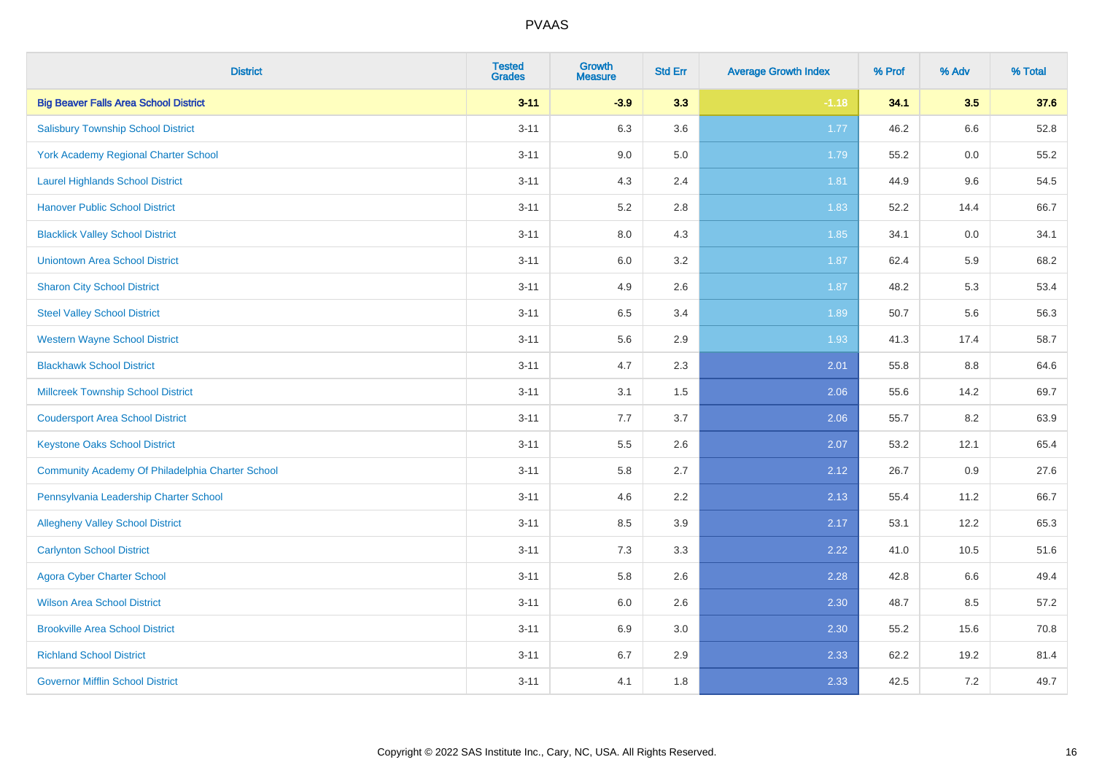| <b>District</b>                                  | <b>Tested</b><br><b>Grades</b> | <b>Growth</b><br><b>Measure</b> | <b>Std Err</b> | <b>Average Growth Index</b> | % Prof | % Adv   | % Total |
|--------------------------------------------------|--------------------------------|---------------------------------|----------------|-----------------------------|--------|---------|---------|
| <b>Big Beaver Falls Area School District</b>     | $3 - 11$                       | $-3.9$                          | 3.3            | $-1.18$                     | 34.1   | 3.5     | 37.6    |
| <b>Salisbury Township School District</b>        | $3 - 11$                       | 6.3                             | 3.6            | $1.77$                      | 46.2   | 6.6     | 52.8    |
| <b>York Academy Regional Charter School</b>      | $3 - 11$                       | 9.0                             | 5.0            | 1.79                        | 55.2   | 0.0     | 55.2    |
| <b>Laurel Highlands School District</b>          | $3 - 11$                       | 4.3                             | 2.4            | 1.81                        | 44.9   | 9.6     | 54.5    |
| <b>Hanover Public School District</b>            | $3 - 11$                       | 5.2                             | 2.8            | 1.83                        | 52.2   | 14.4    | 66.7    |
| <b>Blacklick Valley School District</b>          | $3 - 11$                       | 8.0                             | 4.3            | 1.85                        | 34.1   | $0.0\,$ | 34.1    |
| <b>Uniontown Area School District</b>            | $3 - 11$                       | $6.0\,$                         | 3.2            | 1.87                        | 62.4   | 5.9     | 68.2    |
| <b>Sharon City School District</b>               | $3 - 11$                       | 4.9                             | 2.6            | 1.87                        | 48.2   | 5.3     | 53.4    |
| <b>Steel Valley School District</b>              | $3 - 11$                       | 6.5                             | 3.4            | 1.89                        | 50.7   | 5.6     | 56.3    |
| <b>Western Wayne School District</b>             | $3 - 11$                       | 5.6                             | 2.9            | 1.93                        | 41.3   | 17.4    | 58.7    |
| <b>Blackhawk School District</b>                 | $3 - 11$                       | 4.7                             | 2.3            | 2.01                        | 55.8   | 8.8     | 64.6    |
| <b>Millcreek Township School District</b>        | $3 - 11$                       | 3.1                             | 1.5            | 2.06                        | 55.6   | 14.2    | 69.7    |
| <b>Coudersport Area School District</b>          | $3 - 11$                       | 7.7                             | 3.7            | 2.06                        | 55.7   | 8.2     | 63.9    |
| <b>Keystone Oaks School District</b>             | $3 - 11$                       | $5.5\,$                         | 2.6            | 2.07                        | 53.2   | 12.1    | 65.4    |
| Community Academy Of Philadelphia Charter School | $3 - 11$                       | 5.8                             | 2.7            | 2.12                        | 26.7   | 0.9     | 27.6    |
| Pennsylvania Leadership Charter School           | $3 - 11$                       | 4.6                             | 2.2            | 2.13                        | 55.4   | 11.2    | 66.7    |
| <b>Allegheny Valley School District</b>          | $3 - 11$                       | 8.5                             | 3.9            | 2.17                        | 53.1   | 12.2    | 65.3    |
| <b>Carlynton School District</b>                 | $3 - 11$                       | 7.3                             | 3.3            | 2.22                        | 41.0   | 10.5    | 51.6    |
| <b>Agora Cyber Charter School</b>                | $3 - 11$                       | 5.8                             | 2.6            | 2.28                        | 42.8   | 6.6     | 49.4    |
| <b>Wilson Area School District</b>               | $3 - 11$                       | 6.0                             | 2.6            | 2.30                        | 48.7   | 8.5     | 57.2    |
| <b>Brookville Area School District</b>           | $3 - 11$                       | 6.9                             | 3.0            | 2.30                        | 55.2   | 15.6    | 70.8    |
| <b>Richland School District</b>                  | $3 - 11$                       | 6.7                             | 2.9            | 2.33                        | 62.2   | 19.2    | 81.4    |
| <b>Governor Mifflin School District</b>          | $3 - 11$                       | 4.1                             | 1.8            | 2.33                        | 42.5   | 7.2     | 49.7    |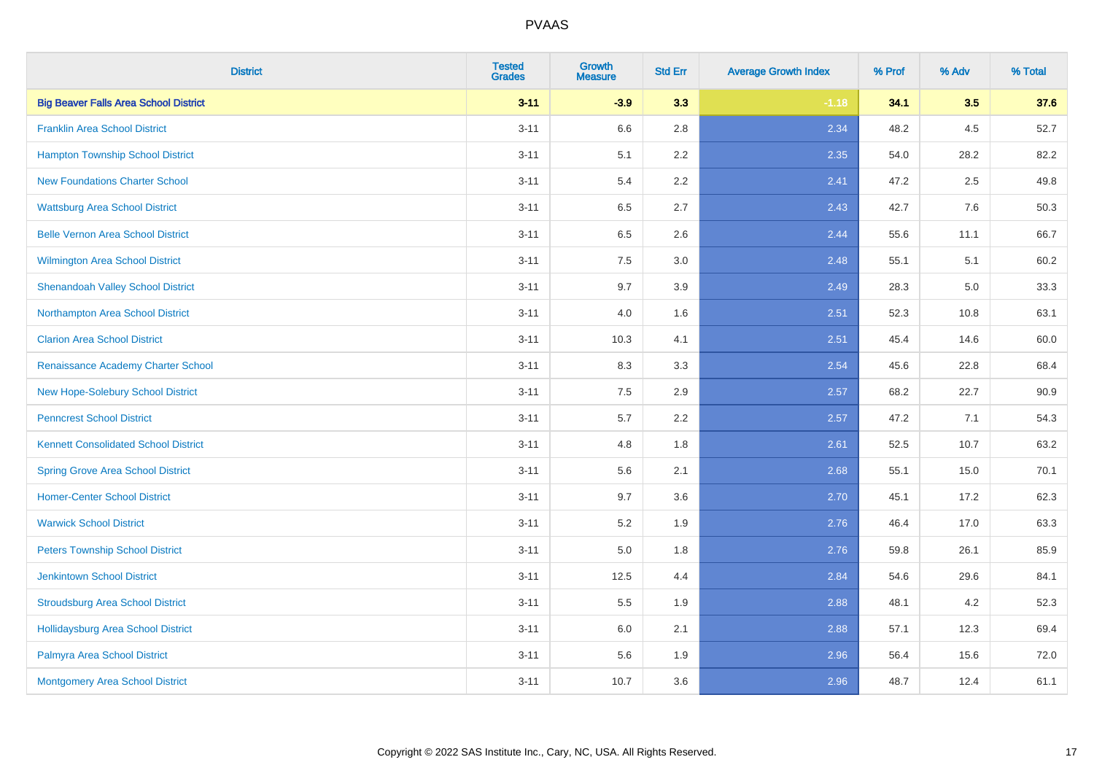| <b>District</b>                              | <b>Tested</b><br><b>Grades</b> | <b>Growth</b><br><b>Measure</b> | <b>Std Err</b> | <b>Average Growth Index</b> | % Prof | % Adv   | % Total |
|----------------------------------------------|--------------------------------|---------------------------------|----------------|-----------------------------|--------|---------|---------|
| <b>Big Beaver Falls Area School District</b> | $3 - 11$                       | $-3.9$                          | 3.3            | $-1.18$                     | 34.1   | 3.5     | 37.6    |
| <b>Franklin Area School District</b>         | $3 - 11$                       | 6.6                             | 2.8            | 2.34                        | 48.2   | $4.5\,$ | 52.7    |
| <b>Hampton Township School District</b>      | $3 - 11$                       | 5.1                             | 2.2            | 2.35                        | 54.0   | 28.2    | 82.2    |
| <b>New Foundations Charter School</b>        | $3 - 11$                       | 5.4                             | 2.2            | 2.41                        | 47.2   | 2.5     | 49.8    |
| <b>Wattsburg Area School District</b>        | $3 - 11$                       | 6.5                             | 2.7            | 2.43                        | 42.7   | 7.6     | 50.3    |
| <b>Belle Vernon Area School District</b>     | $3 - 11$                       | 6.5                             | 2.6            | 2.44                        | 55.6   | 11.1    | 66.7    |
| Wilmington Area School District              | $3 - 11$                       | 7.5                             | 3.0            | 2.48                        | 55.1   | 5.1     | 60.2    |
| <b>Shenandoah Valley School District</b>     | $3 - 11$                       | 9.7                             | 3.9            | 2.49                        | 28.3   | 5.0     | 33.3    |
| Northampton Area School District             | $3 - 11$                       | 4.0                             | 1.6            | 2.51                        | 52.3   | 10.8    | 63.1    |
| <b>Clarion Area School District</b>          | $3 - 11$                       | 10.3                            | 4.1            | 2.51                        | 45.4   | 14.6    | 60.0    |
| Renaissance Academy Charter School           | $3 - 11$                       | 8.3                             | 3.3            | 2.54                        | 45.6   | 22.8    | 68.4    |
| New Hope-Solebury School District            | $3 - 11$                       | 7.5                             | 2.9            | 2.57                        | 68.2   | 22.7    | 90.9    |
| <b>Penncrest School District</b>             | $3 - 11$                       | 5.7                             | 2.2            | 2.57                        | 47.2   | 7.1     | 54.3    |
| <b>Kennett Consolidated School District</b>  | $3 - 11$                       | 4.8                             | 1.8            | 2.61                        | 52.5   | 10.7    | 63.2    |
| <b>Spring Grove Area School District</b>     | $3 - 11$                       | 5.6                             | 2.1            | 2.68                        | 55.1   | 15.0    | 70.1    |
| <b>Homer-Center School District</b>          | $3 - 11$                       | 9.7                             | 3.6            | 2.70                        | 45.1   | 17.2    | 62.3    |
| <b>Warwick School District</b>               | $3 - 11$                       | 5.2                             | 1.9            | 2.76                        | 46.4   | 17.0    | 63.3    |
| <b>Peters Township School District</b>       | $3 - 11$                       | 5.0                             | 1.8            | 2.76                        | 59.8   | 26.1    | 85.9    |
| <b>Jenkintown School District</b>            | $3 - 11$                       | 12.5                            | 4.4            | 2.84                        | 54.6   | 29.6    | 84.1    |
| <b>Stroudsburg Area School District</b>      | $3 - 11$                       | 5.5                             | 1.9            | 2.88                        | 48.1   | 4.2     | 52.3    |
| <b>Hollidaysburg Area School District</b>    | $3 - 11$                       | 6.0                             | 2.1            | 2.88                        | 57.1   | 12.3    | 69.4    |
| Palmyra Area School District                 | $3 - 11$                       | 5.6                             | 1.9            | 2.96                        | 56.4   | 15.6    | 72.0    |
| Montgomery Area School District              | $3 - 11$                       | 10.7                            | 3.6            | 2.96                        | 48.7   | 12.4    | 61.1    |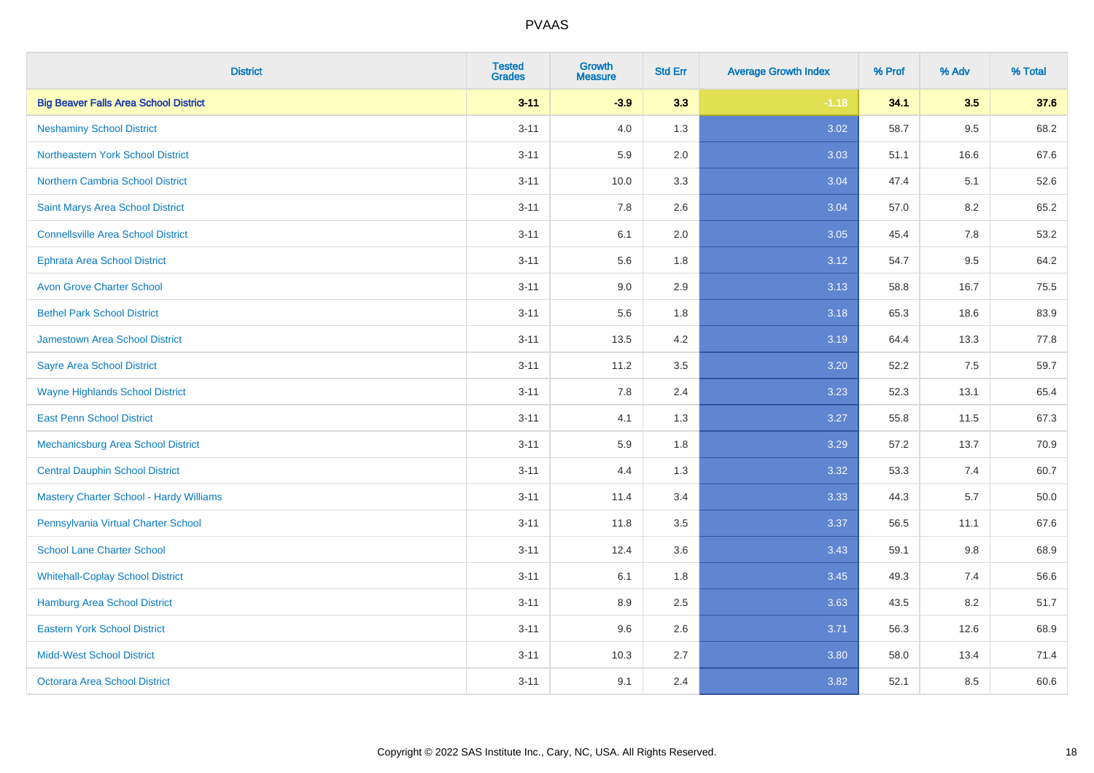| <b>District</b>                                | <b>Tested</b><br><b>Grades</b> | <b>Growth</b><br><b>Measure</b> | <b>Std Err</b> | <b>Average Growth Index</b> | % Prof | % Adv   | % Total |
|------------------------------------------------|--------------------------------|---------------------------------|----------------|-----------------------------|--------|---------|---------|
| <b>Big Beaver Falls Area School District</b>   | $3 - 11$                       | $-3.9$                          | 3.3            | $-1.18$                     | 34.1   | 3.5     | 37.6    |
| <b>Neshaminy School District</b>               | $3 - 11$                       | 4.0                             | 1.3            | 3.02                        | 58.7   | $9.5\,$ | 68.2    |
| Northeastern York School District              | $3 - 11$                       | 5.9                             | 2.0            | 3.03                        | 51.1   | 16.6    | 67.6    |
| <b>Northern Cambria School District</b>        | $3 - 11$                       | 10.0                            | 3.3            | 3.04                        | 47.4   | 5.1     | 52.6    |
| Saint Marys Area School District               | $3 - 11$                       | 7.8                             | 2.6            | 3.04                        | 57.0   | 8.2     | 65.2    |
| <b>Connellsville Area School District</b>      | $3 - 11$                       | 6.1                             | 2.0            | 3.05                        | 45.4   | 7.8     | 53.2    |
| <b>Ephrata Area School District</b>            | $3 - 11$                       | 5.6                             | 1.8            | 3.12                        | 54.7   | 9.5     | 64.2    |
| <b>Avon Grove Charter School</b>               | $3 - 11$                       | 9.0                             | 2.9            | 3.13                        | 58.8   | 16.7    | 75.5    |
| <b>Bethel Park School District</b>             | $3 - 11$                       | 5.6                             | 1.8            | 3.18                        | 65.3   | 18.6    | 83.9    |
| <b>Jamestown Area School District</b>          | $3 - 11$                       | 13.5                            | 4.2            | 3.19                        | 64.4   | 13.3    | 77.8    |
| <b>Sayre Area School District</b>              | $3 - 11$                       | 11.2                            | 3.5            | 3.20                        | 52.2   | 7.5     | 59.7    |
| <b>Wayne Highlands School District</b>         | $3 - 11$                       | 7.8                             | 2.4            | 3.23                        | 52.3   | 13.1    | 65.4    |
| <b>East Penn School District</b>               | $3 - 11$                       | 4.1                             | 1.3            | 3.27                        | 55.8   | 11.5    | 67.3    |
| <b>Mechanicsburg Area School District</b>      | $3 - 11$                       | 5.9                             | 1.8            | 3.29                        | 57.2   | 13.7    | 70.9    |
| <b>Central Dauphin School District</b>         | $3 - 11$                       | 4.4                             | 1.3            | 3.32                        | 53.3   | 7.4     | 60.7    |
| <b>Mastery Charter School - Hardy Williams</b> | $3 - 11$                       | 11.4                            | 3.4            | 3.33                        | 44.3   | 5.7     | 50.0    |
| Pennsylvania Virtual Charter School            | $3 - 11$                       | 11.8                            | 3.5            | 3.37                        | 56.5   | 11.1    | 67.6    |
| <b>School Lane Charter School</b>              | $3 - 11$                       | 12.4                            | 3.6            | 3.43                        | 59.1   | 9.8     | 68.9    |
| <b>Whitehall-Coplay School District</b>        | $3 - 11$                       | 6.1                             | 1.8            | 3.45                        | 49.3   | 7.4     | 56.6    |
| <b>Hamburg Area School District</b>            | $3 - 11$                       | 8.9                             | 2.5            | 3.63                        | 43.5   | 8.2     | 51.7    |
| <b>Eastern York School District</b>            | $3 - 11$                       | 9.6                             | 2.6            | 3.71                        | 56.3   | 12.6    | 68.9    |
| <b>Midd-West School District</b>               | $3 - 11$                       | 10.3                            | 2.7            | 3.80                        | 58.0   | 13.4    | 71.4    |
| <b>Octorara Area School District</b>           | $3 - 11$                       | 9.1                             | 2.4            | 3.82                        | 52.1   | 8.5     | 60.6    |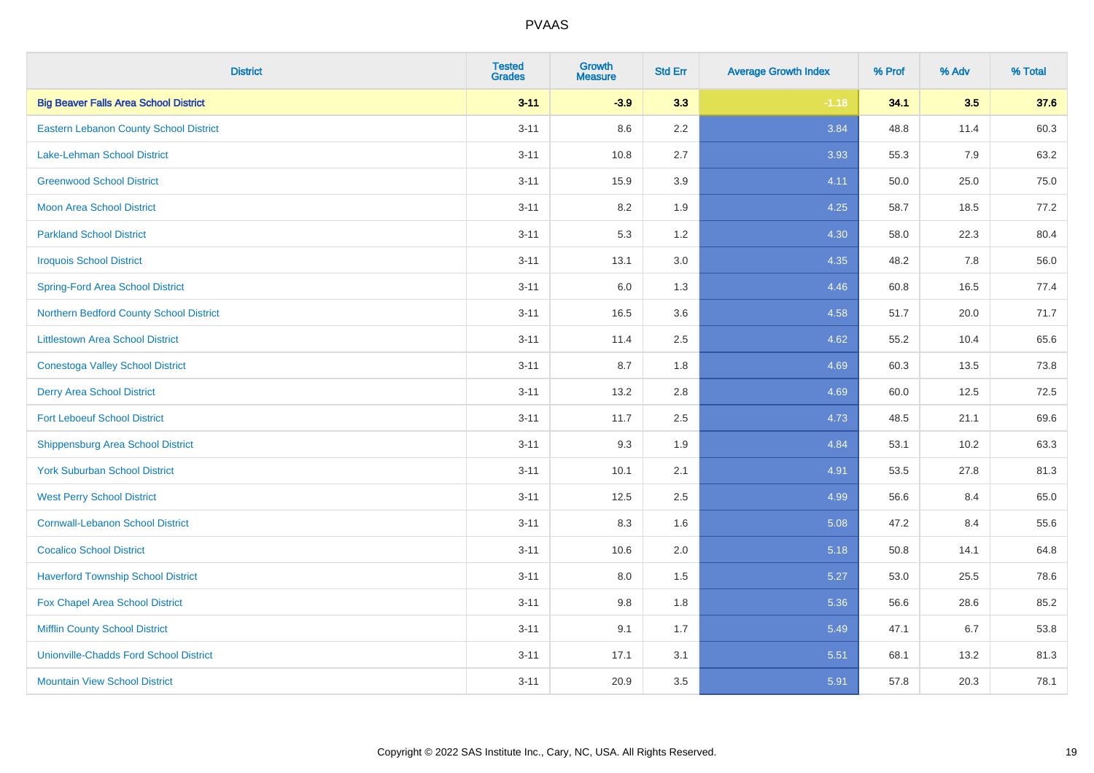| <b>District</b>                               | <b>Tested</b><br><b>Grades</b> | <b>Growth</b><br><b>Measure</b> | <b>Std Err</b> | <b>Average Growth Index</b> | % Prof | % Adv | % Total |
|-----------------------------------------------|--------------------------------|---------------------------------|----------------|-----------------------------|--------|-------|---------|
| <b>Big Beaver Falls Area School District</b>  | $3 - 11$                       | $-3.9$                          | 3.3            | $-1.18$                     | 34.1   | 3.5   | 37.6    |
| <b>Eastern Lebanon County School District</b> | $3 - 11$                       | 8.6                             | $2.2\,$        | 3.84                        | 48.8   | 11.4  | 60.3    |
| Lake-Lehman School District                   | $3 - 11$                       | 10.8                            | 2.7            | 3.93                        | 55.3   | 7.9   | 63.2    |
| <b>Greenwood School District</b>              | $3 - 11$                       | 15.9                            | 3.9            | 4.11                        | 50.0   | 25.0  | 75.0    |
| <b>Moon Area School District</b>              | $3 - 11$                       | 8.2                             | 1.9            | 4.25                        | 58.7   | 18.5  | 77.2    |
| <b>Parkland School District</b>               | $3 - 11$                       | 5.3                             | 1.2            | 4.30                        | 58.0   | 22.3  | 80.4    |
| <b>Iroquois School District</b>               | $3 - 11$                       | 13.1                            | 3.0            | 4.35                        | 48.2   | 7.8   | 56.0    |
| <b>Spring-Ford Area School District</b>       | $3 - 11$                       | 6.0                             | 1.3            | 4.46                        | 60.8   | 16.5  | 77.4    |
| Northern Bedford County School District       | $3 - 11$                       | 16.5                            | 3.6            | 4.58                        | 51.7   | 20.0  | 71.7    |
| <b>Littlestown Area School District</b>       | $3 - 11$                       | 11.4                            | 2.5            | 4.62                        | 55.2   | 10.4  | 65.6    |
| <b>Conestoga Valley School District</b>       | $3 - 11$                       | 8.7                             | 1.8            | 4.69                        | 60.3   | 13.5  | 73.8    |
| <b>Derry Area School District</b>             | $3 - 11$                       | 13.2                            | 2.8            | 4.69                        | 60.0   | 12.5  | 72.5    |
| <b>Fort Leboeuf School District</b>           | $3 - 11$                       | 11.7                            | 2.5            | 4.73                        | 48.5   | 21.1  | 69.6    |
| <b>Shippensburg Area School District</b>      | $3 - 11$                       | 9.3                             | 1.9            | 4.84                        | 53.1   | 10.2  | 63.3    |
| <b>York Suburban School District</b>          | $3 - 11$                       | 10.1                            | 2.1            | 4.91                        | 53.5   | 27.8  | 81.3    |
| <b>West Perry School District</b>             | $3 - 11$                       | 12.5                            | 2.5            | 4.99                        | 56.6   | 8.4   | 65.0    |
| <b>Cornwall-Lebanon School District</b>       | $3 - 11$                       | 8.3                             | 1.6            | 5.08                        | 47.2   | 8.4   | 55.6    |
| <b>Cocalico School District</b>               | $3 - 11$                       | 10.6                            | 2.0            | 5.18                        | 50.8   | 14.1  | 64.8    |
| <b>Haverford Township School District</b>     | $3 - 11$                       | 8.0                             | 1.5            | 5.27                        | 53.0   | 25.5  | 78.6    |
| Fox Chapel Area School District               | $3 - 11$                       | 9.8                             | 1.8            | 5.36                        | 56.6   | 28.6  | 85.2    |
| <b>Mifflin County School District</b>         | $3 - 11$                       | 9.1                             | 1.7            | 5.49                        | 47.1   | 6.7   | 53.8    |
| <b>Unionville-Chadds Ford School District</b> | $3 - 11$                       | 17.1                            | 3.1            | 5.51                        | 68.1   | 13.2  | 81.3    |
| <b>Mountain View School District</b>          | $3 - 11$                       | 20.9                            | 3.5            | 5.91                        | 57.8   | 20.3  | 78.1    |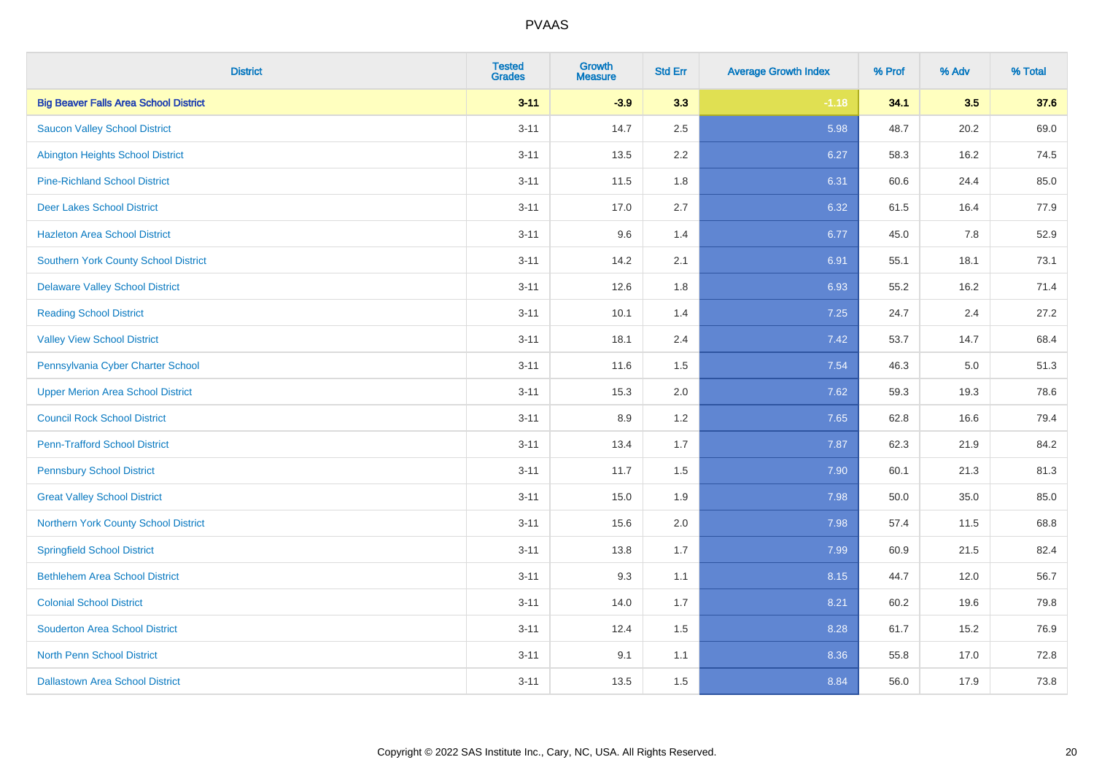| <b>District</b>                              | <b>Tested</b><br><b>Grades</b> | <b>Growth</b><br><b>Measure</b> | <b>Std Err</b> | <b>Average Growth Index</b> | % Prof | % Adv | % Total |
|----------------------------------------------|--------------------------------|---------------------------------|----------------|-----------------------------|--------|-------|---------|
| <b>Big Beaver Falls Area School District</b> | $3 - 11$                       | $-3.9$                          | 3.3            | $-1.18$                     | 34.1   | 3.5   | 37.6    |
| <b>Saucon Valley School District</b>         | $3 - 11$                       | 14.7                            | $2.5\,$        | 5.98                        | 48.7   | 20.2  | 69.0    |
| <b>Abington Heights School District</b>      | $3 - 11$                       | 13.5                            | 2.2            | 6.27                        | 58.3   | 16.2  | 74.5    |
| <b>Pine-Richland School District</b>         | $3 - 11$                       | 11.5                            | 1.8            | 6.31                        | 60.6   | 24.4  | 85.0    |
| <b>Deer Lakes School District</b>            | $3 - 11$                       | 17.0                            | 2.7            | 6.32                        | 61.5   | 16.4  | 77.9    |
| <b>Hazleton Area School District</b>         | $3 - 11$                       | 9.6                             | 1.4            | 6.77                        | 45.0   | 7.8   | 52.9    |
| Southern York County School District         | $3 - 11$                       | 14.2                            | 2.1            | 6.91                        | 55.1   | 18.1  | 73.1    |
| <b>Delaware Valley School District</b>       | $3 - 11$                       | 12.6                            | 1.8            | 6.93                        | 55.2   | 16.2  | 71.4    |
| <b>Reading School District</b>               | $3 - 11$                       | 10.1                            | 1.4            | 7.25                        | 24.7   | 2.4   | 27.2    |
| <b>Valley View School District</b>           | $3 - 11$                       | 18.1                            | 2.4            | 7.42                        | 53.7   | 14.7  | 68.4    |
| Pennsylvania Cyber Charter School            | $3 - 11$                       | 11.6                            | 1.5            | 7.54                        | 46.3   | 5.0   | 51.3    |
| <b>Upper Merion Area School District</b>     | $3 - 11$                       | 15.3                            | 2.0            | 7.62                        | 59.3   | 19.3  | 78.6    |
| <b>Council Rock School District</b>          | $3 - 11$                       | 8.9                             | 1.2            | 7.65                        | 62.8   | 16.6  | 79.4    |
| <b>Penn-Trafford School District</b>         | $3 - 11$                       | 13.4                            | 1.7            | 7.87                        | 62.3   | 21.9  | 84.2    |
| <b>Pennsbury School District</b>             | $3 - 11$                       | 11.7                            | 1.5            | 7.90                        | 60.1   | 21.3  | 81.3    |
| <b>Great Valley School District</b>          | $3 - 11$                       | 15.0                            | 1.9            | 7.98                        | 50.0   | 35.0  | 85.0    |
| Northern York County School District         | $3 - 11$                       | 15.6                            | 2.0            | 7.98                        | 57.4   | 11.5  | 68.8    |
| <b>Springfield School District</b>           | $3 - 11$                       | 13.8                            | 1.7            | 7.99                        | 60.9   | 21.5  | 82.4    |
| <b>Bethlehem Area School District</b>        | $3 - 11$                       | 9.3                             | 1.1            | 8.15                        | 44.7   | 12.0  | 56.7    |
| <b>Colonial School District</b>              | $3 - 11$                       | 14.0                            | 1.7            | 8.21                        | 60.2   | 19.6  | 79.8    |
| <b>Souderton Area School District</b>        | $3 - 11$                       | 12.4                            | 1.5            | 8.28                        | 61.7   | 15.2  | 76.9    |
| <b>North Penn School District</b>            | $3 - 11$                       | 9.1                             | 1.1            | 8.36                        | 55.8   | 17.0  | 72.8    |
| <b>Dallastown Area School District</b>       | $3 - 11$                       | 13.5                            | 1.5            | 8.84                        | 56.0   | 17.9  | 73.8    |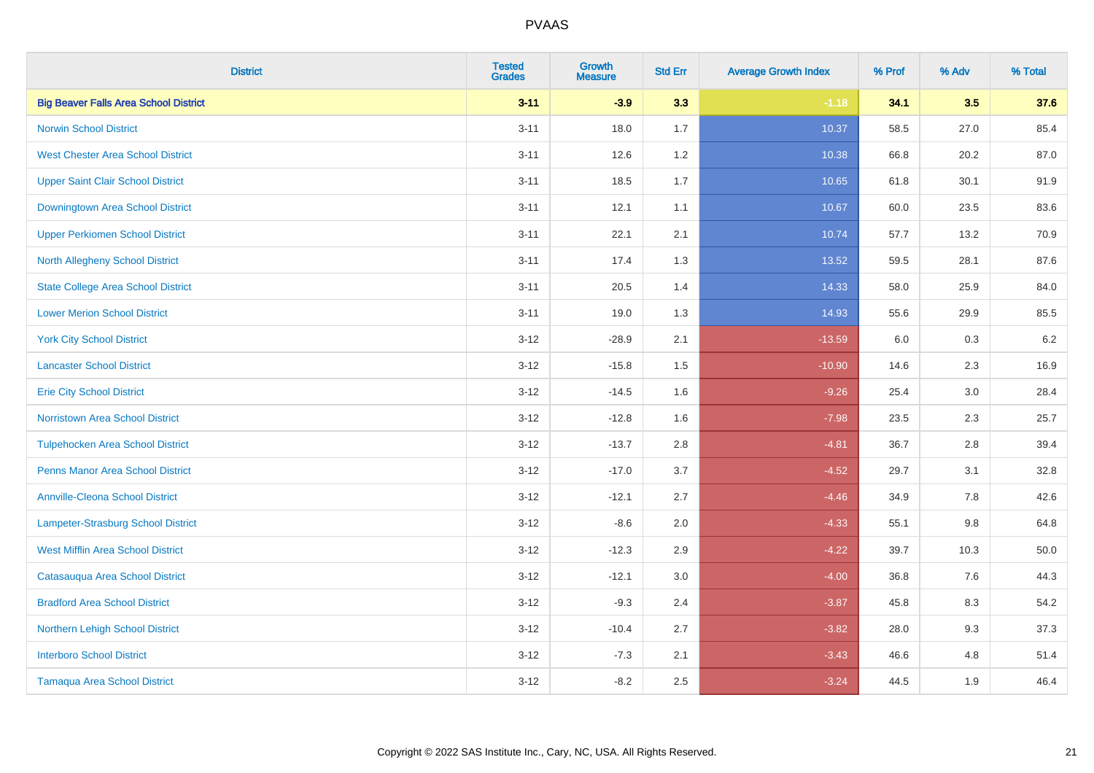| <b>District</b>                              | <b>Tested</b><br><b>Grades</b> | <b>Growth</b><br><b>Measure</b> | <b>Std Err</b> | <b>Average Growth Index</b> | % Prof | % Adv   | % Total |
|----------------------------------------------|--------------------------------|---------------------------------|----------------|-----------------------------|--------|---------|---------|
| <b>Big Beaver Falls Area School District</b> | $3 - 11$                       | $-3.9$                          | 3.3            | $-1.18$                     | 34.1   | 3.5     | 37.6    |
| <b>Norwin School District</b>                | $3 - 11$                       | 18.0                            | 1.7            | 10.37                       | 58.5   | 27.0    | 85.4    |
| <b>West Chester Area School District</b>     | $3 - 11$                       | 12.6                            | 1.2            | 10.38                       | 66.8   | 20.2    | 87.0    |
| <b>Upper Saint Clair School District</b>     | $3 - 11$                       | 18.5                            | 1.7            | 10.65                       | 61.8   | 30.1    | 91.9    |
| <b>Downingtown Area School District</b>      | $3 - 11$                       | 12.1                            | 1.1            | 10.67                       | 60.0   | 23.5    | 83.6    |
| <b>Upper Perkiomen School District</b>       | $3 - 11$                       | 22.1                            | 2.1            | 10.74                       | 57.7   | 13.2    | 70.9    |
| North Allegheny School District              | $3 - 11$                       | 17.4                            | 1.3            | 13.52                       | 59.5   | 28.1    | 87.6    |
| <b>State College Area School District</b>    | $3 - 11$                       | 20.5                            | 1.4            | 14.33                       | 58.0   | 25.9    | 84.0    |
| <b>Lower Merion School District</b>          | $3 - 11$                       | 19.0                            | 1.3            | 14.93                       | 55.6   | 29.9    | 85.5    |
| <b>York City School District</b>             | $3 - 12$                       | $-28.9$                         | 2.1            | $-13.59$                    | 6.0    | 0.3     | 6.2     |
| <b>Lancaster School District</b>             | $3 - 12$                       | $-15.8$                         | 1.5            | $-10.90$                    | 14.6   | 2.3     | 16.9    |
| <b>Erie City School District</b>             | $3 - 12$                       | $-14.5$                         | 1.6            | $-9.26$                     | 25.4   | 3.0     | 28.4    |
| Norristown Area School District              | $3 - 12$                       | $-12.8$                         | 1.6            | $-7.98$                     | 23.5   | $2.3\,$ | 25.7    |
| <b>Tulpehocken Area School District</b>      | $3 - 12$                       | $-13.7$                         | 2.8            | $-4.81$                     | 36.7   | 2.8     | 39.4    |
| <b>Penns Manor Area School District</b>      | $3 - 12$                       | $-17.0$                         | 3.7            | $-4.52$                     | 29.7   | 3.1     | 32.8    |
| <b>Annville-Cleona School District</b>       | $3 - 12$                       | $-12.1$                         | 2.7            | $-4.46$                     | 34.9   | $7.8\,$ | 42.6    |
| Lampeter-Strasburg School District           | $3 - 12$                       | $-8.6$                          | 2.0            | $-4.33$                     | 55.1   | 9.8     | 64.8    |
| <b>West Mifflin Area School District</b>     | $3 - 12$                       | $-12.3$                         | 2.9            | $-4.22$                     | 39.7   | 10.3    | 50.0    |
| Catasauqua Area School District              | $3 - 12$                       | $-12.1$                         | 3.0            | $-4.00$                     | 36.8   | 7.6     | 44.3    |
| <b>Bradford Area School District</b>         | $3 - 12$                       | $-9.3$                          | 2.4            | $-3.87$                     | 45.8   | 8.3     | 54.2    |
| Northern Lehigh School District              | $3 - 12$                       | $-10.4$                         | 2.7            | $-3.82$                     | 28.0   | 9.3     | 37.3    |
| <b>Interboro School District</b>             | $3 - 12$                       | $-7.3$                          | 2.1            | $-3.43$                     | 46.6   | 4.8     | 51.4    |
| <b>Tamaqua Area School District</b>          | $3 - 12$                       | $-8.2$                          | 2.5            | $-3.24$                     | 44.5   | 1.9     | 46.4    |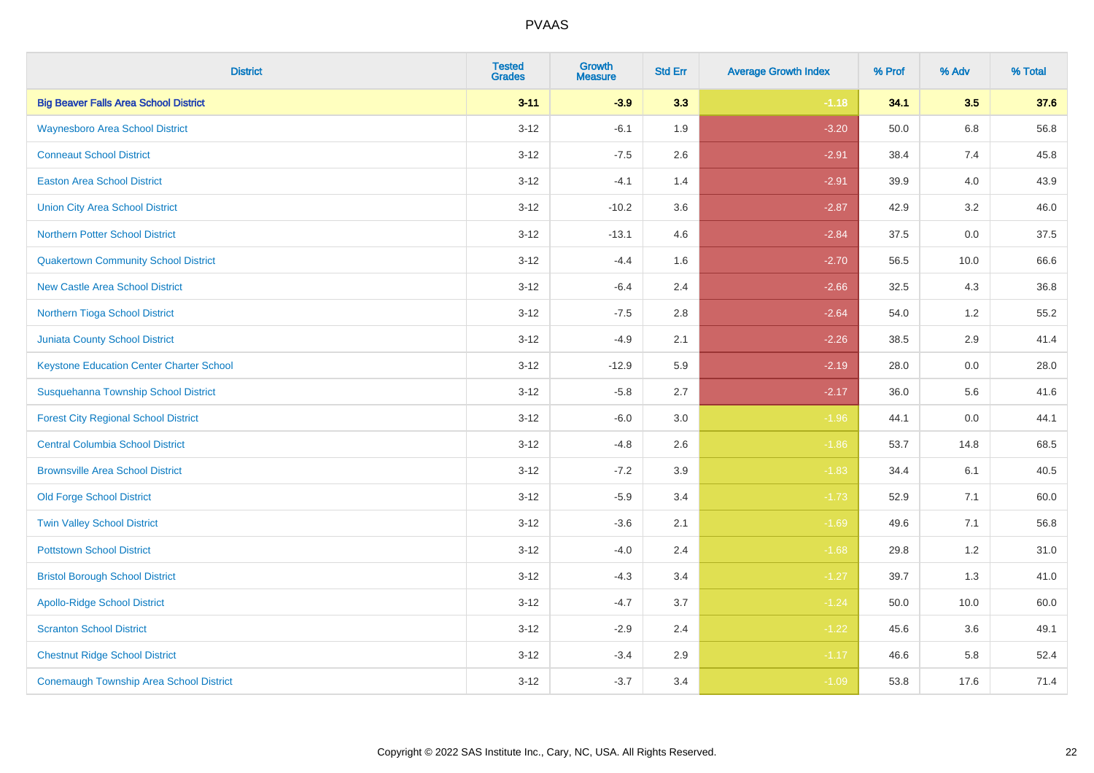| <b>District</b>                                 | <b>Tested</b><br><b>Grades</b> | <b>Growth</b><br><b>Measure</b> | <b>Std Err</b> | <b>Average Growth Index</b> | % Prof | % Adv   | % Total |
|-------------------------------------------------|--------------------------------|---------------------------------|----------------|-----------------------------|--------|---------|---------|
| <b>Big Beaver Falls Area School District</b>    | $3 - 11$                       | $-3.9$                          | 3.3            | $-1.18$                     | 34.1   | 3.5     | 37.6    |
| <b>Waynesboro Area School District</b>          | $3 - 12$                       | $-6.1$                          | 1.9            | $-3.20$                     | 50.0   | $6.8\,$ | 56.8    |
| <b>Conneaut School District</b>                 | $3 - 12$                       | $-7.5$                          | 2.6            | $-2.91$                     | 38.4   | 7.4     | 45.8    |
| <b>Easton Area School District</b>              | $3 - 12$                       | $-4.1$                          | 1.4            | $-2.91$                     | 39.9   | 4.0     | 43.9    |
| <b>Union City Area School District</b>          | $3-12$                         | $-10.2$                         | 3.6            | $-2.87$                     | 42.9   | 3.2     | 46.0    |
| <b>Northern Potter School District</b>          | $3 - 12$                       | $-13.1$                         | 4.6            | $-2.84$                     | 37.5   | 0.0     | 37.5    |
| <b>Quakertown Community School District</b>     | $3 - 12$                       | $-4.4$                          | 1.6            | $-2.70$                     | 56.5   | 10.0    | 66.6    |
| <b>New Castle Area School District</b>          | $3 - 12$                       | $-6.4$                          | 2.4            | $-2.66$                     | 32.5   | 4.3     | 36.8    |
| Northern Tioga School District                  | $3 - 12$                       | $-7.5$                          | 2.8            | $-2.64$                     | 54.0   | 1.2     | 55.2    |
| <b>Juniata County School District</b>           | $3-12$                         | $-4.9$                          | 2.1            | $-2.26$                     | 38.5   | 2.9     | 41.4    |
| <b>Keystone Education Center Charter School</b> | $3 - 12$                       | $-12.9$                         | 5.9            | $-2.19$                     | 28.0   | 0.0     | 28.0    |
| Susquehanna Township School District            | $3 - 12$                       | $-5.8$                          | 2.7            | $-2.17$                     | 36.0   | 5.6     | 41.6    |
| <b>Forest City Regional School District</b>     | $3 - 12$                       | $-6.0$                          | $3.0\,$        | $-1.96$                     | 44.1   | $0.0\,$ | 44.1    |
| <b>Central Columbia School District</b>         | $3 - 12$                       | $-4.8$                          | 2.6            | $-1.86$                     | 53.7   | 14.8    | 68.5    |
| <b>Brownsville Area School District</b>         | $3 - 12$                       | $-7.2$                          | 3.9            | $-1.83$                     | 34.4   | 6.1     | 40.5    |
| <b>Old Forge School District</b>                | $3 - 12$                       | $-5.9$                          | 3.4            | $-1.73$                     | 52.9   | 7.1     | 60.0    |
| <b>Twin Valley School District</b>              | $3 - 12$                       | $-3.6$                          | 2.1            | $-1.69$                     | 49.6   | 7.1     | 56.8    |
| <b>Pottstown School District</b>                | $3 - 12$                       | $-4.0$                          | 2.4            | $-1.68$                     | 29.8   | 1.2     | 31.0    |
| <b>Bristol Borough School District</b>          | $3 - 12$                       | $-4.3$                          | 3.4            | $-1.27$                     | 39.7   | 1.3     | 41.0    |
| <b>Apollo-Ridge School District</b>             | $3 - 12$                       | $-4.7$                          | 3.7            | $-1.24$                     | 50.0   | 10.0    | 60.0    |
| <b>Scranton School District</b>                 | $3-12$                         | $-2.9$                          | 2.4            | $-1.22$                     | 45.6   | 3.6     | 49.1    |
| <b>Chestnut Ridge School District</b>           | $3 - 12$                       | $-3.4$                          | 2.9            | $-1.17$                     | 46.6   | 5.8     | 52.4    |
| <b>Conemaugh Township Area School District</b>  | $3 - 12$                       | $-3.7$                          | 3.4            | $-1.09$                     | 53.8   | 17.6    | 71.4    |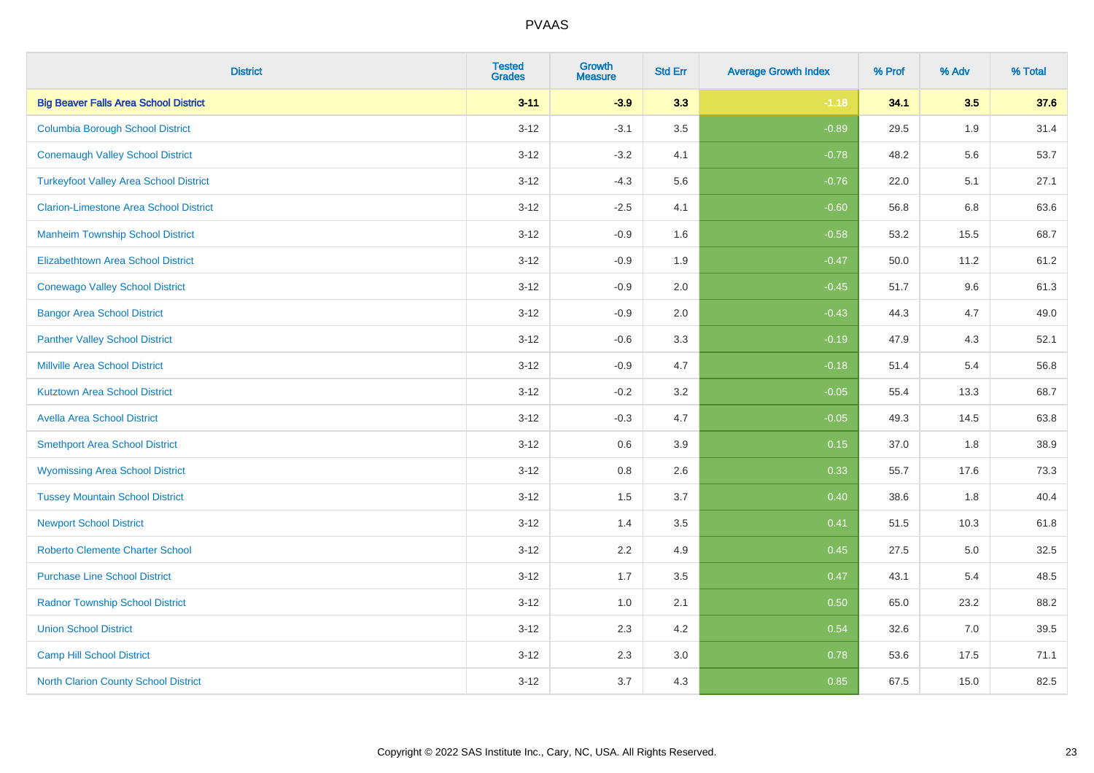| <b>District</b>                               | <b>Tested</b><br><b>Grades</b> | <b>Growth</b><br><b>Measure</b> | <b>Std Err</b> | <b>Average Growth Index</b> | % Prof | % Adv | % Total |
|-----------------------------------------------|--------------------------------|---------------------------------|----------------|-----------------------------|--------|-------|---------|
| <b>Big Beaver Falls Area School District</b>  | $3 - 11$                       | $-3.9$                          | 3.3            | $-1.18$                     | 34.1   | 3.5   | 37.6    |
| <b>Columbia Borough School District</b>       | $3 - 12$                       | $-3.1$                          | 3.5            | $-0.89$                     | 29.5   | 1.9   | 31.4    |
| <b>Conemaugh Valley School District</b>       | $3 - 12$                       | $-3.2$                          | 4.1            | $-0.78$                     | 48.2   | 5.6   | 53.7    |
| <b>Turkeyfoot Valley Area School District</b> | $3 - 12$                       | $-4.3$                          | 5.6            | $-0.76$                     | 22.0   | 5.1   | 27.1    |
| <b>Clarion-Limestone Area School District</b> | $3 - 12$                       | $-2.5$                          | 4.1            | $-0.60$                     | 56.8   | 6.8   | 63.6    |
| <b>Manheim Township School District</b>       | $3 - 12$                       | $-0.9$                          | 1.6            | $-0.58$                     | 53.2   | 15.5  | 68.7    |
| <b>Elizabethtown Area School District</b>     | $3 - 12$                       | $-0.9$                          | 1.9            | $-0.47$                     | 50.0   | 11.2  | 61.2    |
| <b>Conewago Valley School District</b>        | $3 - 12$                       | $-0.9$                          | 2.0            | $-0.45$                     | 51.7   | 9.6   | 61.3    |
| <b>Bangor Area School District</b>            | $3 - 12$                       | $-0.9$                          | 2.0            | $-0.43$                     | 44.3   | 4.7   | 49.0    |
| <b>Panther Valley School District</b>         | $3 - 12$                       | $-0.6$                          | 3.3            | $-0.19$                     | 47.9   | 4.3   | 52.1    |
| <b>Millville Area School District</b>         | $3 - 12$                       | $-0.9$                          | 4.7            | $-0.18$                     | 51.4   | 5.4   | 56.8    |
| <b>Kutztown Area School District</b>          | $3 - 12$                       | $-0.2$                          | 3.2            | $-0.05$                     | 55.4   | 13.3  | 68.7    |
| <b>Avella Area School District</b>            | $3 - 12$                       | $-0.3$                          | 4.7            | $-0.05$                     | 49.3   | 14.5  | 63.8    |
| <b>Smethport Area School District</b>         | $3 - 12$                       | 0.6                             | 3.9            | 0.15                        | 37.0   | 1.8   | 38.9    |
| <b>Wyomissing Area School District</b>        | $3 - 12$                       | 0.8                             | 2.6            | 0.33                        | 55.7   | 17.6  | 73.3    |
| <b>Tussey Mountain School District</b>        | $3 - 12$                       | 1.5                             | 3.7            | $\boxed{0.40}$              | 38.6   | 1.8   | 40.4    |
| <b>Newport School District</b>                | $3 - 12$                       | 1.4                             | 3.5            | 0.41                        | 51.5   | 10.3  | 61.8    |
| <b>Roberto Clemente Charter School</b>        | $3 - 12$                       | 2.2                             | 4.9            | 0.45                        | 27.5   | 5.0   | 32.5    |
| <b>Purchase Line School District</b>          | $3 - 12$                       | 1.7                             | 3.5            | 0.47                        | 43.1   | 5.4   | 48.5    |
| <b>Radnor Township School District</b>        | $3 - 12$                       | 1.0                             | 2.1            | 0.50                        | 65.0   | 23.2  | 88.2    |
| <b>Union School District</b>                  | $3 - 12$                       | 2.3                             | 4.2            | 0.54                        | 32.6   | 7.0   | 39.5    |
| <b>Camp Hill School District</b>              | $3 - 12$                       | 2.3                             | 3.0            | 0.78                        | 53.6   | 17.5  | 71.1    |
| <b>North Clarion County School District</b>   | $3 - 12$                       | 3.7                             | 4.3            | 0.85                        | 67.5   | 15.0  | 82.5    |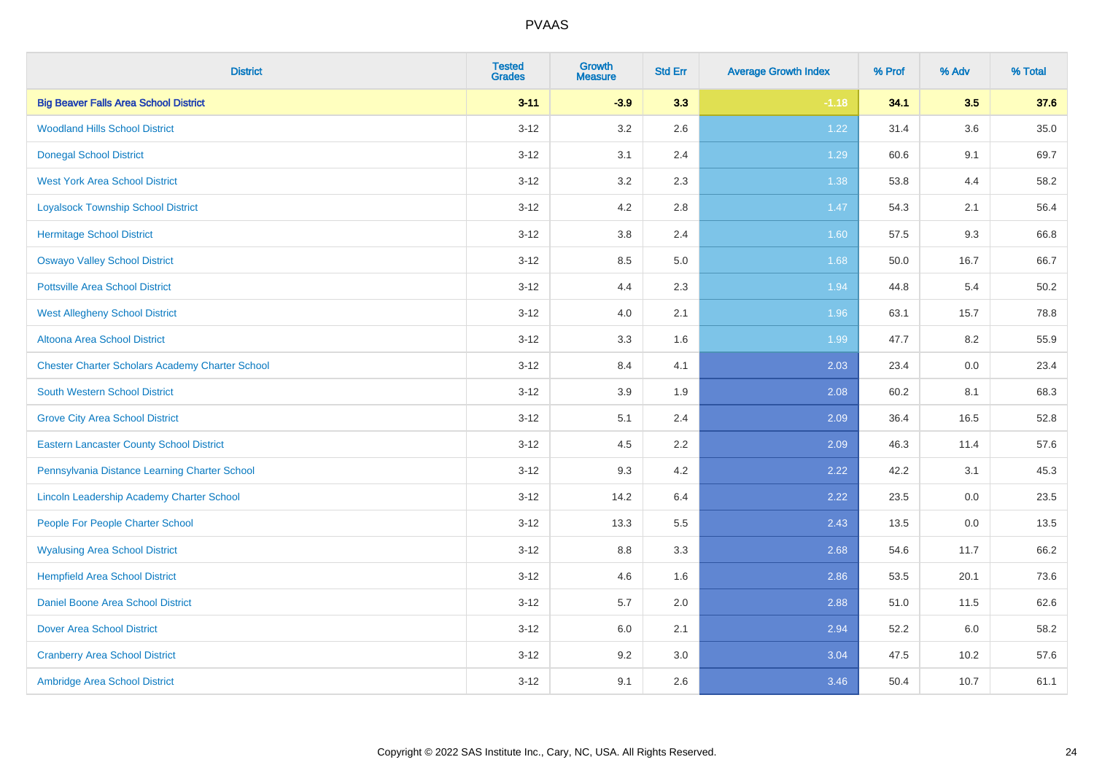| <b>District</b>                                        | <b>Tested</b><br><b>Grades</b> | <b>Growth</b><br><b>Measure</b> | <b>Std Err</b> | <b>Average Growth Index</b> | % Prof | % Adv   | % Total  |
|--------------------------------------------------------|--------------------------------|---------------------------------|----------------|-----------------------------|--------|---------|----------|
| <b>Big Beaver Falls Area School District</b>           | $3 - 11$                       | $-3.9$                          | 3.3            | $-1.18$                     | 34.1   | 3.5     | 37.6     |
| <b>Woodland Hills School District</b>                  | $3 - 12$                       | 3.2                             | 2.6            | 1.22                        | 31.4   | 3.6     | $35.0\,$ |
| <b>Donegal School District</b>                         | $3 - 12$                       | 3.1                             | 2.4            | 1.29                        | 60.6   | 9.1     | 69.7     |
| <b>West York Area School District</b>                  | $3 - 12$                       | 3.2                             | 2.3            | 1.38                        | 53.8   | 4.4     | 58.2     |
| <b>Loyalsock Township School District</b>              | $3 - 12$                       | 4.2                             | 2.8            | 1.47                        | 54.3   | 2.1     | 56.4     |
| <b>Hermitage School District</b>                       | $3 - 12$                       | 3.8                             | 2.4            | 1.60                        | 57.5   | 9.3     | 66.8     |
| <b>Oswayo Valley School District</b>                   | $3 - 12$                       | 8.5                             | 5.0            | 1.68                        | 50.0   | 16.7    | 66.7     |
| <b>Pottsville Area School District</b>                 | $3 - 12$                       | 4.4                             | 2.3            | 1.94                        | 44.8   | 5.4     | 50.2     |
| <b>West Allegheny School District</b>                  | $3 - 12$                       | 4.0                             | 2.1            | 1.96                        | 63.1   | 15.7    | 78.8     |
| Altoona Area School District                           | $3 - 12$                       | 3.3                             | 1.6            | 1.99                        | 47.7   | 8.2     | 55.9     |
| <b>Chester Charter Scholars Academy Charter School</b> | $3 - 12$                       | 8.4                             | 4.1            | 2.03                        | 23.4   | 0.0     | 23.4     |
| <b>South Western School District</b>                   | $3 - 12$                       | 3.9                             | 1.9            | 2.08                        | 60.2   | 8.1     | 68.3     |
| <b>Grove City Area School District</b>                 | $3 - 12$                       | 5.1                             | 2.4            | 2.09                        | 36.4   | 16.5    | 52.8     |
| <b>Eastern Lancaster County School District</b>        | $3 - 12$                       | 4.5                             | 2.2            | 2.09                        | 46.3   | 11.4    | 57.6     |
| Pennsylvania Distance Learning Charter School          | $3 - 12$                       | 9.3                             | 4.2            | 2.22                        | 42.2   | 3.1     | 45.3     |
| Lincoln Leadership Academy Charter School              | $3 - 12$                       | 14.2                            | 6.4            | 2.22                        | 23.5   | $0.0\,$ | 23.5     |
| People For People Charter School                       | $3 - 12$                       | 13.3                            | 5.5            | 2.43                        | 13.5   | 0.0     | 13.5     |
| <b>Wyalusing Area School District</b>                  | $3 - 12$                       | 8.8                             | 3.3            | 2.68                        | 54.6   | 11.7    | 66.2     |
| <b>Hempfield Area School District</b>                  | $3 - 12$                       | 4.6                             | 1.6            | 2.86                        | 53.5   | 20.1    | 73.6     |
| <b>Daniel Boone Area School District</b>               | $3 - 12$                       | 5.7                             | 2.0            | 2.88                        | 51.0   | 11.5    | 62.6     |
| <b>Dover Area School District</b>                      | $3 - 12$                       | 6.0                             | 2.1            | 2.94                        | 52.2   | 6.0     | 58.2     |
| <b>Cranberry Area School District</b>                  | $3 - 12$                       | 9.2                             | 3.0            | 3.04                        | 47.5   | 10.2    | 57.6     |
| Ambridge Area School District                          | $3 - 12$                       | 9.1                             | 2.6            | 3.46                        | 50.4   | 10.7    | 61.1     |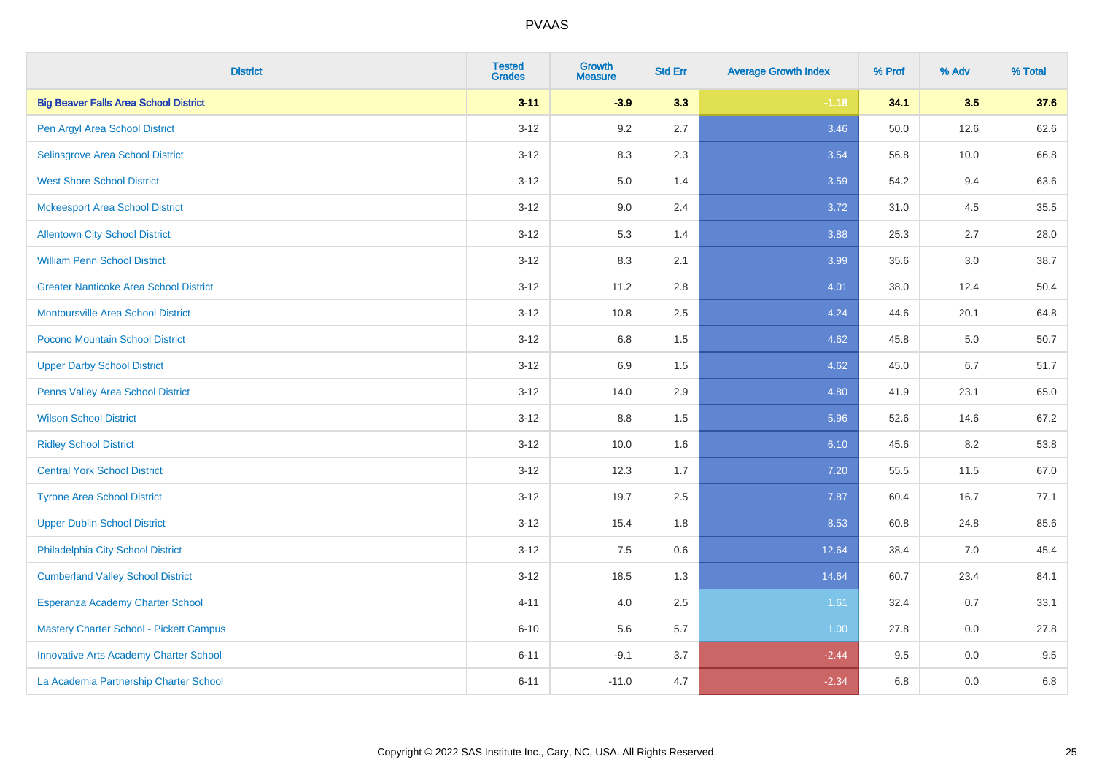| <b>District</b>                               | <b>Tested</b><br><b>Grades</b> | <b>Growth</b><br><b>Measure</b> | <b>Std Err</b> | <b>Average Growth Index</b> | % Prof | % Adv | % Total |
|-----------------------------------------------|--------------------------------|---------------------------------|----------------|-----------------------------|--------|-------|---------|
| <b>Big Beaver Falls Area School District</b>  | $3 - 11$                       | $-3.9$                          | 3.3            | $-1.18$                     | 34.1   | 3.5   | 37.6    |
| Pen Argyl Area School District                | $3 - 12$                       | 9.2                             | 2.7            | 3.46                        | 50.0   | 12.6  | 62.6    |
| Selinsgrove Area School District              | $3 - 12$                       | 8.3                             | 2.3            | 3.54                        | 56.8   | 10.0  | 66.8    |
| <b>West Shore School District</b>             | $3 - 12$                       | 5.0                             | 1.4            | 3.59                        | 54.2   | 9.4   | 63.6    |
| <b>Mckeesport Area School District</b>        | $3 - 12$                       | 9.0                             | 2.4            | 3.72                        | 31.0   | 4.5   | 35.5    |
| <b>Allentown City School District</b>         | $3 - 12$                       | 5.3                             | 1.4            | 3.88                        | 25.3   | 2.7   | 28.0    |
| <b>William Penn School District</b>           | $3 - 12$                       | 8.3                             | 2.1            | 3.99                        | 35.6   | 3.0   | 38.7    |
| <b>Greater Nanticoke Area School District</b> | $3 - 12$                       | 11.2                            | 2.8            | 4.01                        | 38.0   | 12.4  | 50.4    |
| Montoursville Area School District            | $3 - 12$                       | 10.8                            | 2.5            | 4.24                        | 44.6   | 20.1  | 64.8    |
| Pocono Mountain School District               | $3 - 12$                       | 6.8                             | 1.5            | 4.62                        | 45.8   | 5.0   | 50.7    |
| <b>Upper Darby School District</b>            | $3 - 12$                       | 6.9                             | 1.5            | 4.62                        | 45.0   | 6.7   | 51.7    |
| Penns Valley Area School District             | $3 - 12$                       | 14.0                            | 2.9            | 4.80                        | 41.9   | 23.1  | 65.0    |
| <b>Wilson School District</b>                 | $3 - 12$                       | $8.8\,$                         | 1.5            | 5.96                        | 52.6   | 14.6  | 67.2    |
| <b>Ridley School District</b>                 | $3 - 12$                       | 10.0                            | 1.6            | 6.10                        | 45.6   | 8.2   | 53.8    |
| <b>Central York School District</b>           | $3 - 12$                       | 12.3                            | 1.7            | 7.20                        | 55.5   | 11.5  | 67.0    |
| <b>Tyrone Area School District</b>            | $3 - 12$                       | 19.7                            | 2.5            | 7.87                        | 60.4   | 16.7  | 77.1    |
| <b>Upper Dublin School District</b>           | $3 - 12$                       | 15.4                            | 1.8            | 8.53                        | 60.8   | 24.8  | 85.6    |
| Philadelphia City School District             | $3 - 12$                       | 7.5                             | 0.6            | 12.64                       | 38.4   | 7.0   | 45.4    |
| <b>Cumberland Valley School District</b>      | $3 - 12$                       | 18.5                            | 1.3            | 14.64                       | 60.7   | 23.4  | 84.1    |
| Esperanza Academy Charter School              | $4 - 11$                       | 4.0                             | 2.5            | 1.61                        | 32.4   | 0.7   | 33.1    |
| Mastery Charter School - Pickett Campus       | $6 - 10$                       | 5.6                             | 5.7            | 1.00                        | 27.8   | 0.0   | 27.8    |
| <b>Innovative Arts Academy Charter School</b> | $6 - 11$                       | $-9.1$                          | 3.7            | $-2.44$                     | 9.5    | 0.0   | 9.5     |
| La Academia Partnership Charter School        | $6 - 11$                       | $-11.0$                         | 4.7            | $-2.34$                     | 6.8    | 0.0   | 6.8     |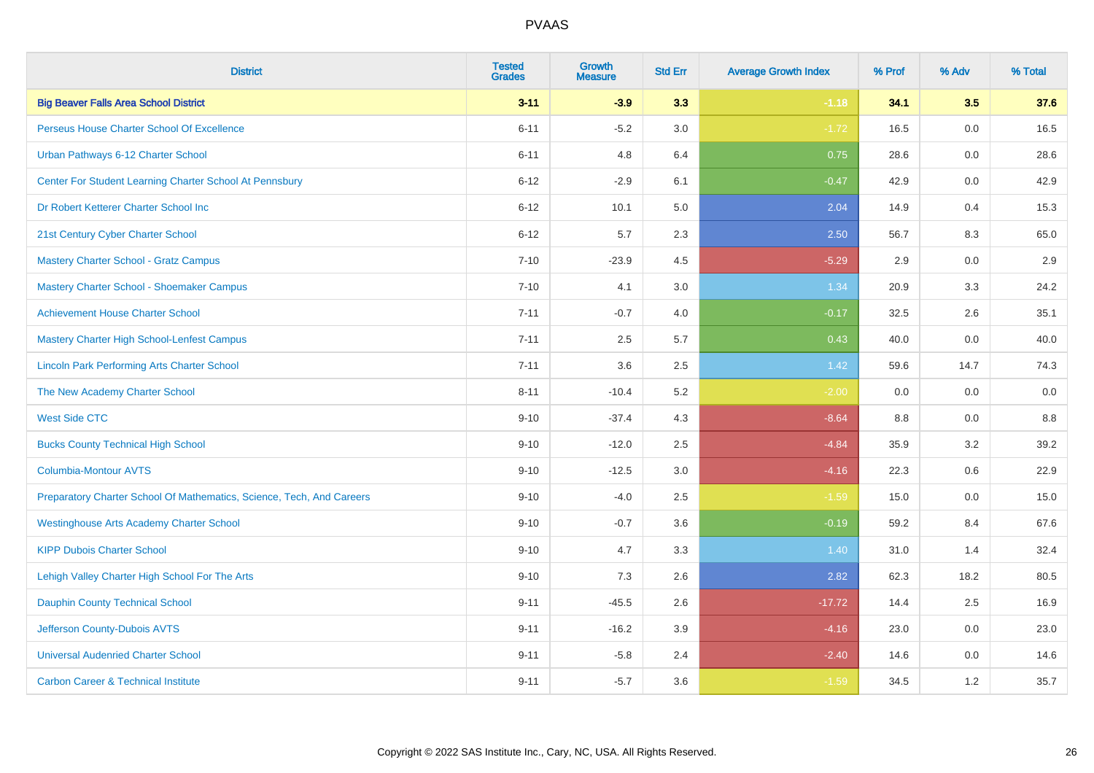| <b>District</b>                                                       | <b>Tested</b><br><b>Grades</b> | <b>Growth</b><br><b>Measure</b> | <b>Std Err</b> | <b>Average Growth Index</b> | % Prof | % Adv | % Total |
|-----------------------------------------------------------------------|--------------------------------|---------------------------------|----------------|-----------------------------|--------|-------|---------|
| <b>Big Beaver Falls Area School District</b>                          | $3 - 11$                       | $-3.9$                          | 3.3            | $-1.18$                     | 34.1   | 3.5   | 37.6    |
| Perseus House Charter School Of Excellence                            | $6 - 11$                       | $-5.2$                          | 3.0            | $-1.72$                     | 16.5   | 0.0   | 16.5    |
| Urban Pathways 6-12 Charter School                                    | $6 - 11$                       | 4.8                             | 6.4            | 0.75                        | 28.6   | 0.0   | 28.6    |
| Center For Student Learning Charter School At Pennsbury               | $6 - 12$                       | $-2.9$                          | 6.1            | $-0.47$                     | 42.9   | 0.0   | 42.9    |
| Dr Robert Ketterer Charter School Inc                                 | $6 - 12$                       | 10.1                            | 5.0            | 2.04                        | 14.9   | 0.4   | 15.3    |
| 21st Century Cyber Charter School                                     | $6 - 12$                       | 5.7                             | 2.3            | 2.50                        | 56.7   | 8.3   | 65.0    |
| <b>Mastery Charter School - Gratz Campus</b>                          | $7 - 10$                       | $-23.9$                         | 4.5            | $-5.29$                     | 2.9    | 0.0   | 2.9     |
| Mastery Charter School - Shoemaker Campus                             | $7 - 10$                       | 4.1                             | 3.0            | 1.34                        | 20.9   | 3.3   | 24.2    |
| <b>Achievement House Charter School</b>                               | $7 - 11$                       | $-0.7$                          | 4.0            | $-0.17$                     | 32.5   | 2.6   | 35.1    |
| <b>Mastery Charter High School-Lenfest Campus</b>                     | $7 - 11$                       | 2.5                             | 5.7            | 0.43                        | 40.0   | 0.0   | 40.0    |
| <b>Lincoln Park Performing Arts Charter School</b>                    | $7 - 11$                       | 3.6                             | 2.5            | 1.42                        | 59.6   | 14.7  | 74.3    |
| The New Academy Charter School                                        | $8 - 11$                       | $-10.4$                         | 5.2            | $-2.00$                     | 0.0    | 0.0   | 0.0     |
| <b>West Side CTC</b>                                                  | $9 - 10$                       | $-37.4$                         | 4.3            | $-8.64$                     | 8.8    | 0.0   | 8.8     |
| <b>Bucks County Technical High School</b>                             | $9 - 10$                       | $-12.0$                         | 2.5            | $-4.84$                     | 35.9   | 3.2   | 39.2    |
| <b>Columbia-Montour AVTS</b>                                          | $9 - 10$                       | $-12.5$                         | 3.0            | $-4.16$                     | 22.3   | 0.6   | 22.9    |
| Preparatory Charter School Of Mathematics, Science, Tech, And Careers | $9 - 10$                       | $-4.0$                          | 2.5            | $-1.59$                     | 15.0   | 0.0   | 15.0    |
| <b>Westinghouse Arts Academy Charter School</b>                       | $9 - 10$                       | $-0.7$                          | 3.6            | $-0.19$                     | 59.2   | 8.4   | 67.6    |
| <b>KIPP Dubois Charter School</b>                                     | $9 - 10$                       | 4.7                             | 3.3            | 1.40                        | 31.0   | 1.4   | 32.4    |
| Lehigh Valley Charter High School For The Arts                        | $9 - 10$                       | 7.3                             | 2.6            | 2.82                        | 62.3   | 18.2  | 80.5    |
| <b>Dauphin County Technical School</b>                                | $9 - 11$                       | $-45.5$                         | 2.6            | $-17.72$                    | 14.4   | 2.5   | 16.9    |
| Jefferson County-Dubois AVTS                                          | $9 - 11$                       | $-16.2$                         | 3.9            | $-4.16$                     | 23.0   | 0.0   | 23.0    |
| <b>Universal Audenried Charter School</b>                             | $9 - 11$                       | $-5.8$                          | 2.4            | $-2.40$                     | 14.6   | 0.0   | 14.6    |
| <b>Carbon Career &amp; Technical Institute</b>                        | $9 - 11$                       | $-5.7$                          | 3.6            | $-1.59$                     | 34.5   | 1.2   | 35.7    |